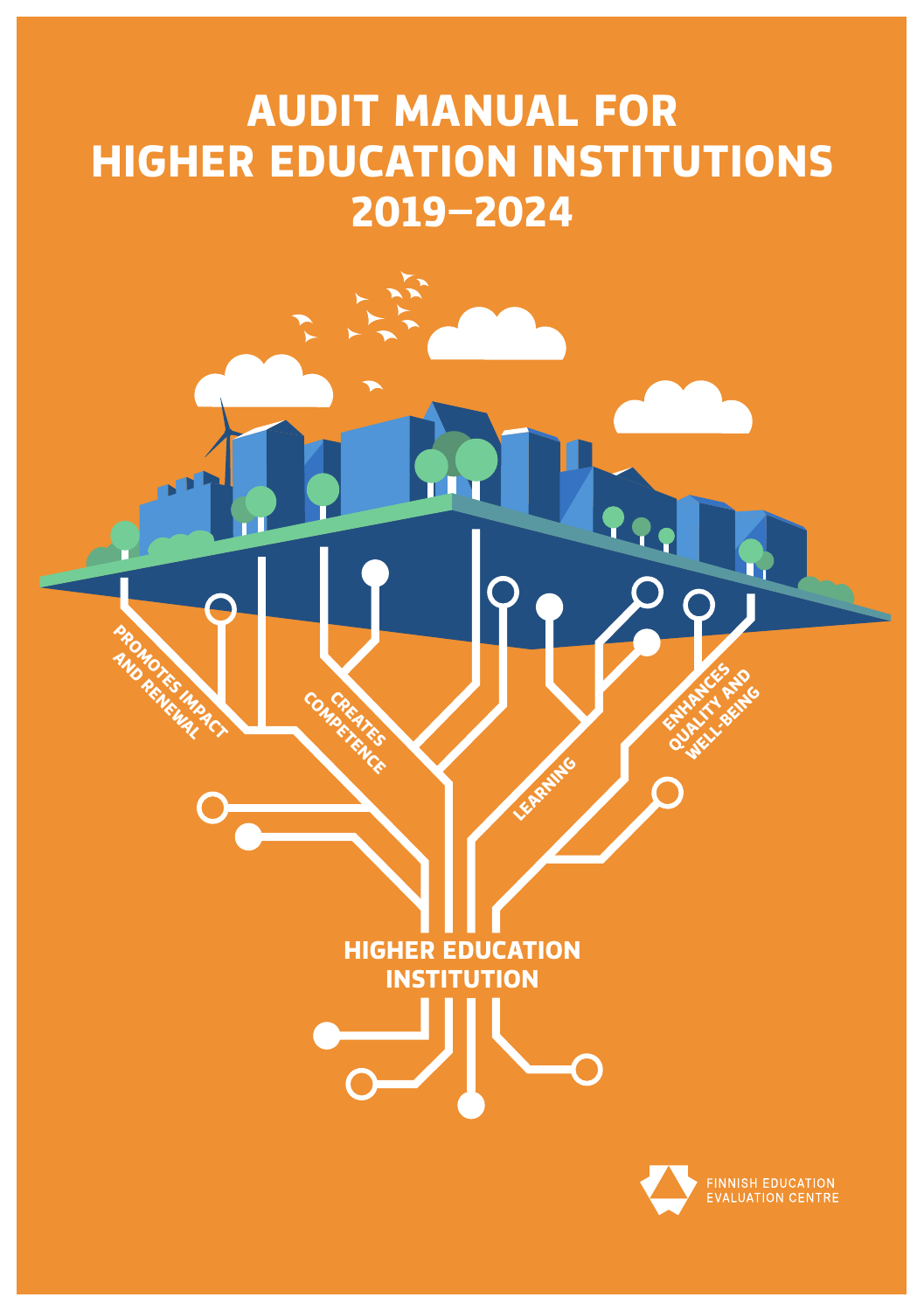## **AUDIT MANUAL FOR HIGHER EDUCATION INSTITUTIONS 2019–2024**

**HIGHER EDUCATION INSTITUTION**

**COMPRESSIVES CREATES** 

**PROMOTES IMPACT AND RENEWAL** 

LEARNING



ENHANCES A **QUALITY AND WELL-BEING**<br>PLITT BEING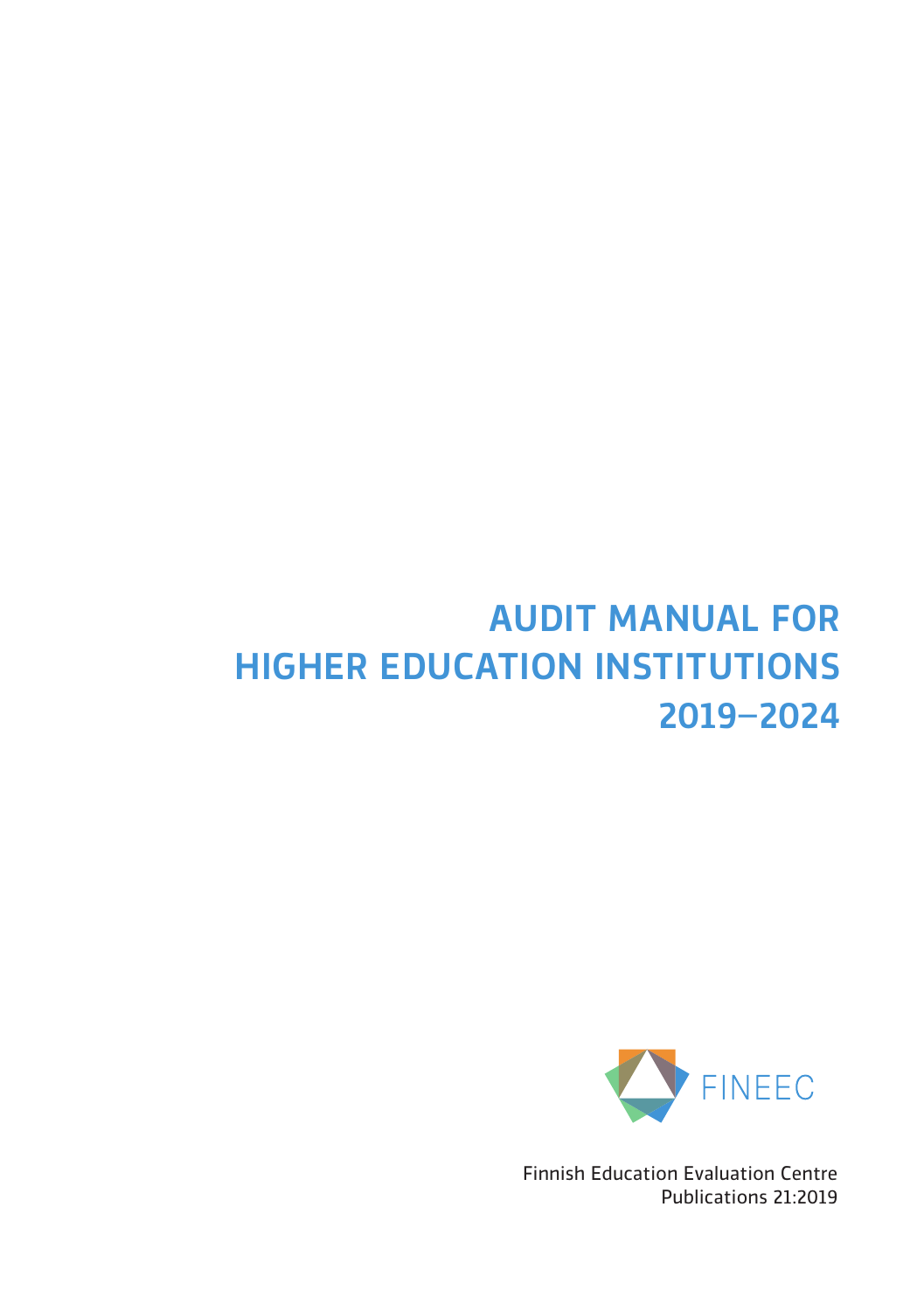## AUDIT MANUAL FOR HIGHER EDUCATION INSTITUTIONS 2019–2024



Finnish Education Evaluation Centre Publications 21:2019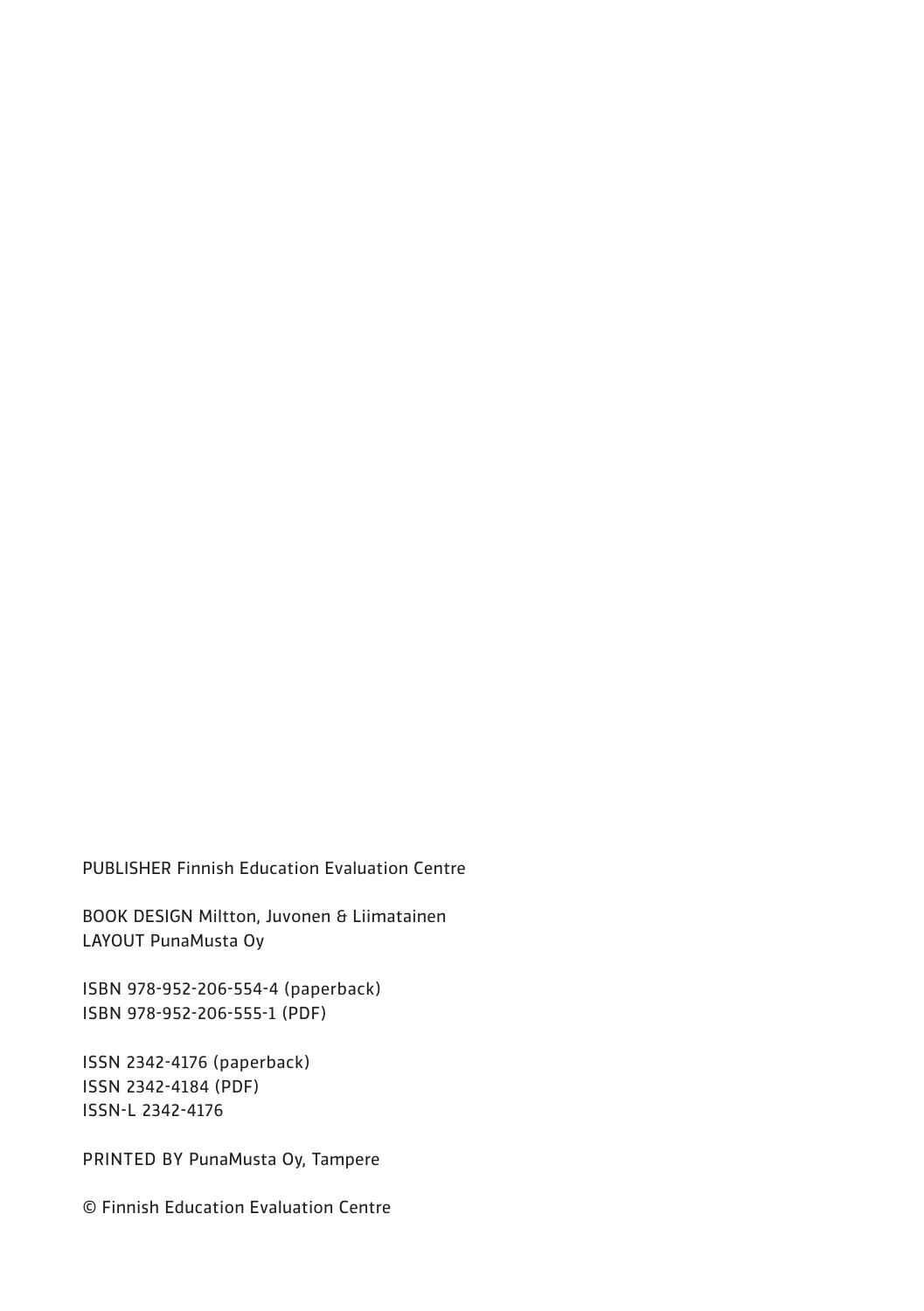PUBLISHER Finnish Education Evaluation Centre

BOOK DESIGN Miltton, Juvonen & Liimatainen LAYOUT PunaMusta Oy

ISBN 978-952-206-554-4 (paperback) ISBN 978-952-206-555-1 (PDF)

ISSN 2342-4176 (paperback) ISSN 2342-4184 (PDF) ISSN-L 2342-4176

PRINTED BY PunaMusta Oy, Tampere

© Finnish Education Evaluation Centre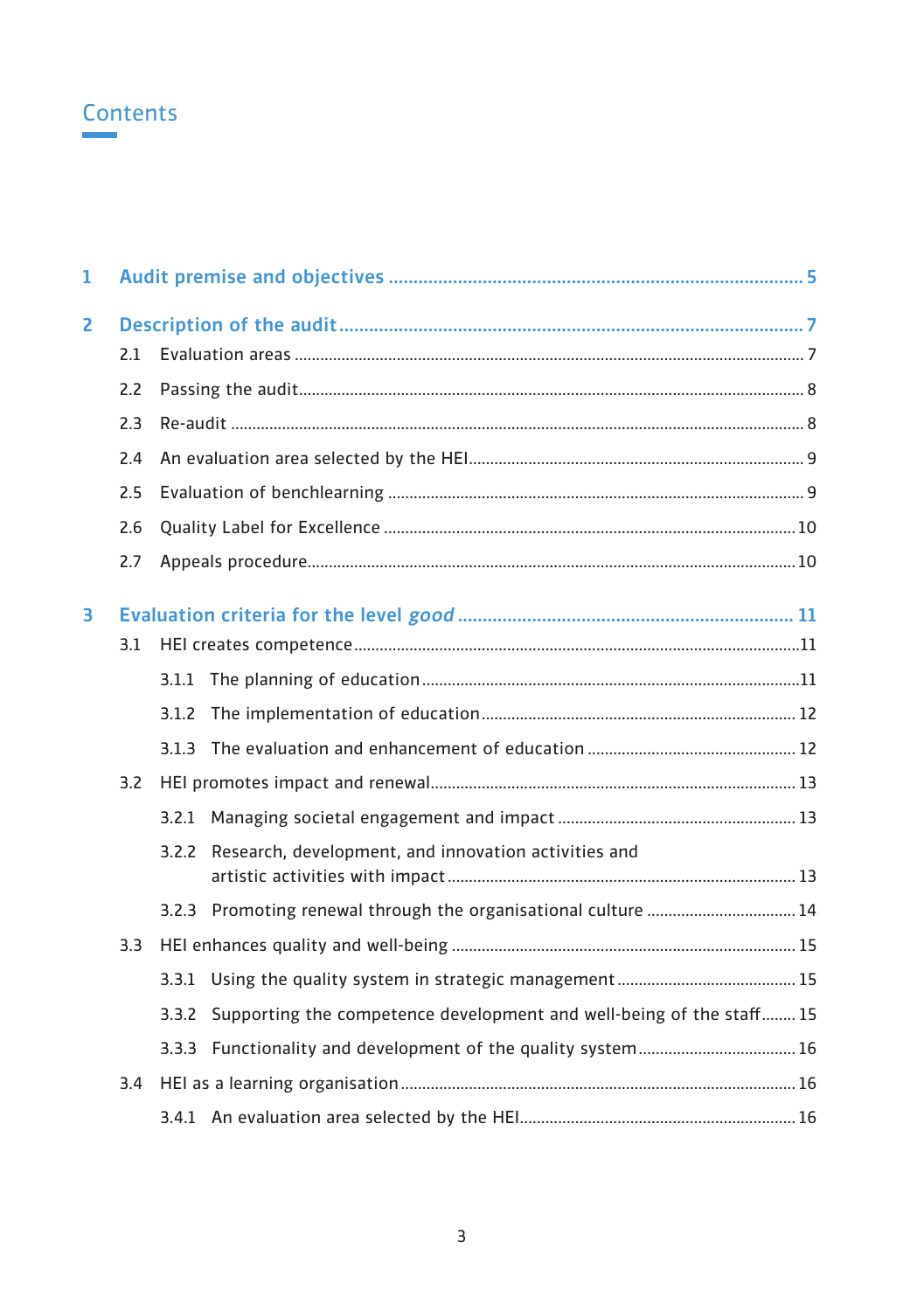## **Contents**

| 1 |     |                                                                            |  |
|---|-----|----------------------------------------------------------------------------|--|
| 2 |     |                                                                            |  |
|   | 2.1 |                                                                            |  |
|   | 2.2 |                                                                            |  |
|   | 2.3 |                                                                            |  |
|   | 2.4 |                                                                            |  |
|   | 2.5 |                                                                            |  |
|   | 2.6 |                                                                            |  |
|   | 2.7 |                                                                            |  |
| 3 |     |                                                                            |  |
|   | 3.1 |                                                                            |  |
|   |     |                                                                            |  |
|   |     |                                                                            |  |
|   |     |                                                                            |  |
|   | 3.2 |                                                                            |  |
|   |     |                                                                            |  |
|   |     | 3.2.2 Research, development, and innovation activities and                 |  |
|   |     | 3.2.3 Promoting renewal through the organisational culture  14             |  |
|   | 3.3 |                                                                            |  |
|   |     |                                                                            |  |
|   |     | 3.3.2 Supporting the competence development and well-being of the staff 15 |  |
|   |     |                                                                            |  |
|   | 3.4 |                                                                            |  |
|   |     |                                                                            |  |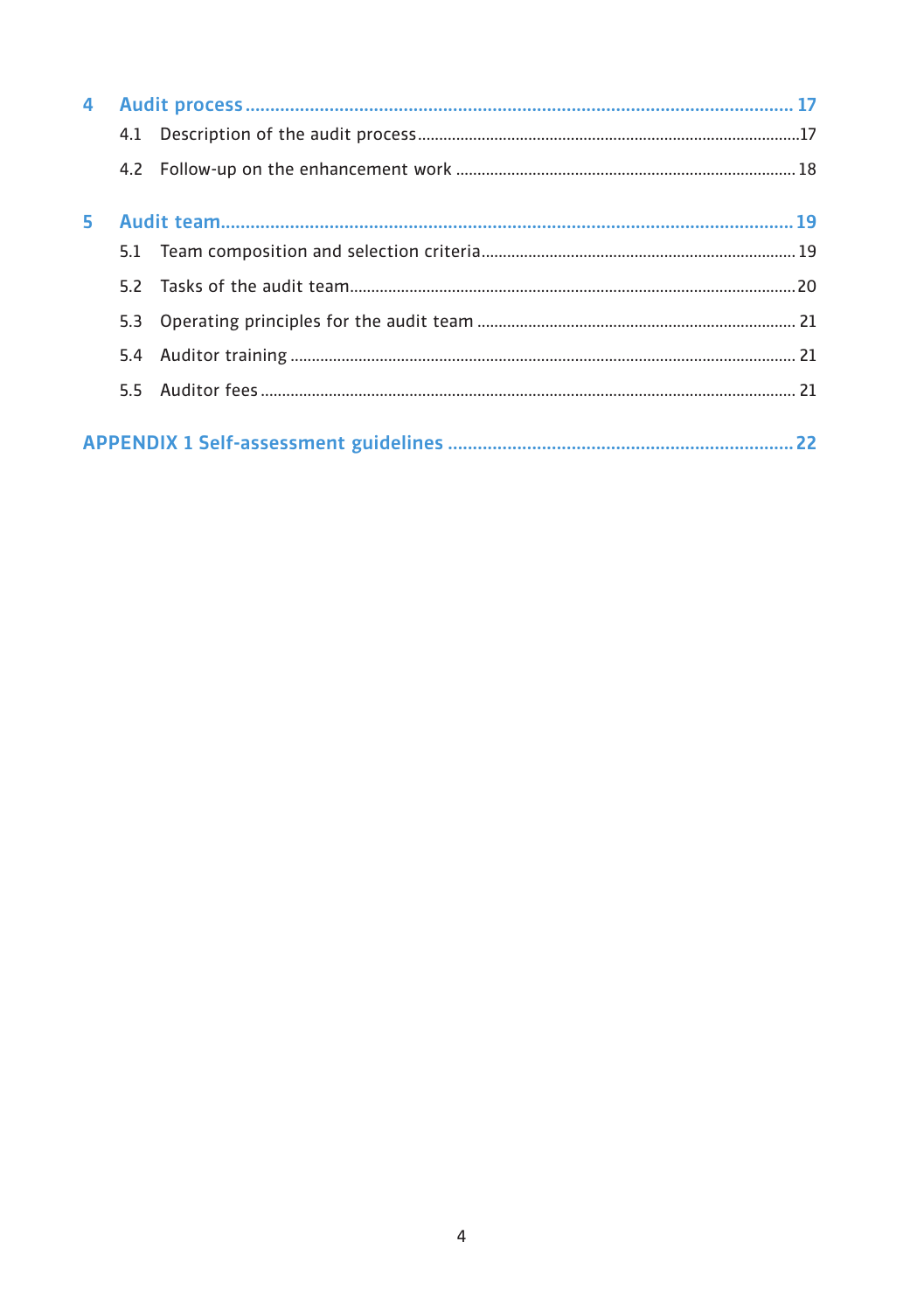| 4 |     |  |
|---|-----|--|
|   |     |  |
|   |     |  |
|   |     |  |
|   |     |  |
|   |     |  |
|   |     |  |
|   | 5.4 |  |
|   |     |  |
|   |     |  |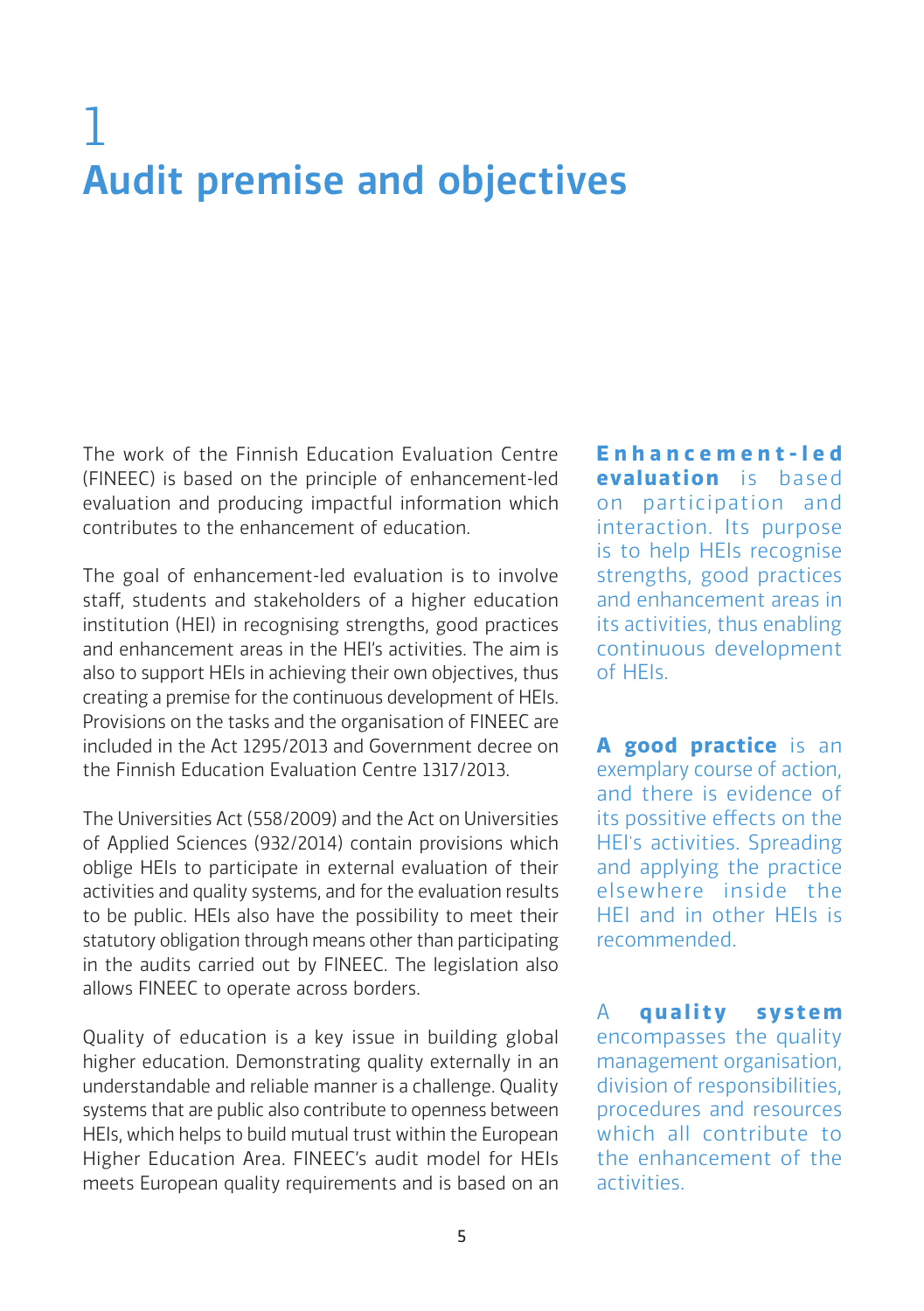# 1 Audit premise and objectives

The work of the Finnish Education Evaluation Centre (FINEEC) is based on the principle of enhancement-led evaluation and producing impactful information which contributes to the enhancement of education.

The goal of enhancement-led evaluation is to involve staff, students and stakeholders of a higher education institution (HEI) in recognising strengths, good practices and enhancement areas in the HEI's activities. The aim is also to support HEIs in achieving their own objectives, thus creating a premise for the continuous development of HEIs. Provisions on the tasks and the organisation of FINEEC are included in the Act 1295/2013 and Government decree on the Finnish Education Evaluation Centre 1317/2013.

The Universities Act (558/2009) and the Act on Universities of Applied Sciences (932/2014) contain provisions which oblige HEIs to participate in external evaluation of their activities and quality systems, and for the evaluation results to be public. HEIs also have the possibility to meet their statutory obligation through means other than participating in the audits carried out by FINEEC. The legislation also allows FINEEC to operate across borders.

Quality of education is a key issue in building global higher education. Demonstrating quality externally in an understandable and reliable manner is a challenge. Quality systems that are public also contribute to openness between HEIs, which helps to build mutual trust within the European Higher Education Area. FINEEC's audit model for HEIs meets European quality requirements and is based on an

**E n h a n c e m e n t - l e d evaluation** is based on participation and interaction. Its purpose is to help HEIs recognise strengths, good practices and enhancement areas in its activities, thus enabling continuous development of HEIs.

**A good practice** is an exemplary course of action, and there is evidence of its possitive effects on the HEI's activities. Spreading and applying the practice elsewhere inside the HEI and in other HEIs is recommended.

A **quality system** encompasses the quality management organisation, division of responsibilities, procedures and resources which all contribute to the enhancement of the activities.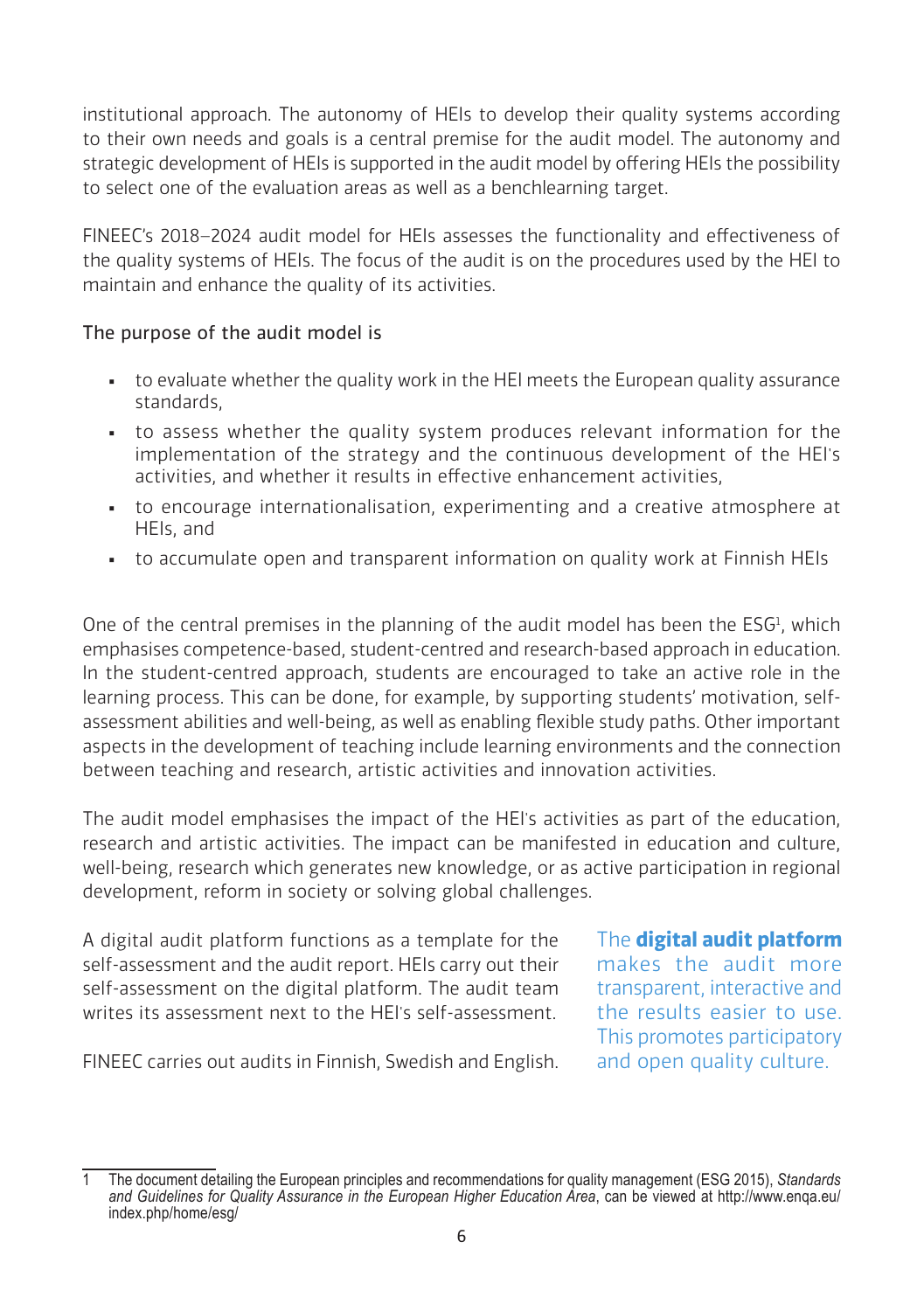institutional approach. The autonomy of HEIs to develop their quality systems according to their own needs and goals is a central premise for the audit model. The autonomy and strategic development of HEIs is supported in the audit model by offering HEIs the possibility to select one of the evaluation areas as well as a benchlearning target.

FINEEC's 2018–2024 audit model for HEIs assesses the functionality and effectiveness of the quality systems of HEIs. The focus of the audit is on the procedures used by the HEI to maintain and enhance the quality of its activities.

## The purpose of the audit model is

- . to evaluate whether the quality work in the HEI meets the European quality assurance standards,
- to assess whether the quality system produces relevant information for the implementation of the strategy and the continuous development of the HEI's activities, and whether it results in effective enhancement activities,
- to encourage internationalisation, experimenting and a creative atmosphere at HEIs, and
- to accumulate open and transparent information on quality work at Finnish HEIs

One of the central premises in the planning of the audit model has been the  $ESG<sup>1</sup>$ , which emphasises competence-based, student-centred and research-based approach in education. In the student-centred approach, students are encouraged to take an active role in the learning process. This can be done, for example, by supporting students' motivation, selfassessment abilities and well-being, as well as enabling flexible study paths. Other important aspects in the development of teaching include learning environments and the connection between teaching and research, artistic activities and innovation activities.

The audit model emphasises the impact of the HEI's activities as part of the education, research and artistic activities. The impact can be manifested in education and culture, well-being, research which generates new knowledge, or as active participation in regional development, reform in society or solving global challenges.

A digital audit platform functions as a template for the self-assessment and the audit report. HEIs carry out their self-assessment on the digital platform. The audit team writes its assessment next to the HEI's self-assessment.

The **digital audit platform** makes the audit more transparent, interactive and the results easier to use. This promotes participatory and open quality culture.

FINEEC carries out audits in Finnish, Swedish and English.

<sup>1</sup> The document detailing the European principles and recommendations for quality management (ESG 2015), *Standards and Guidelines for Quality Assurance in the European Higher Education Area*, can be viewed at http://www.enqa.eu/ index.php/home/esg/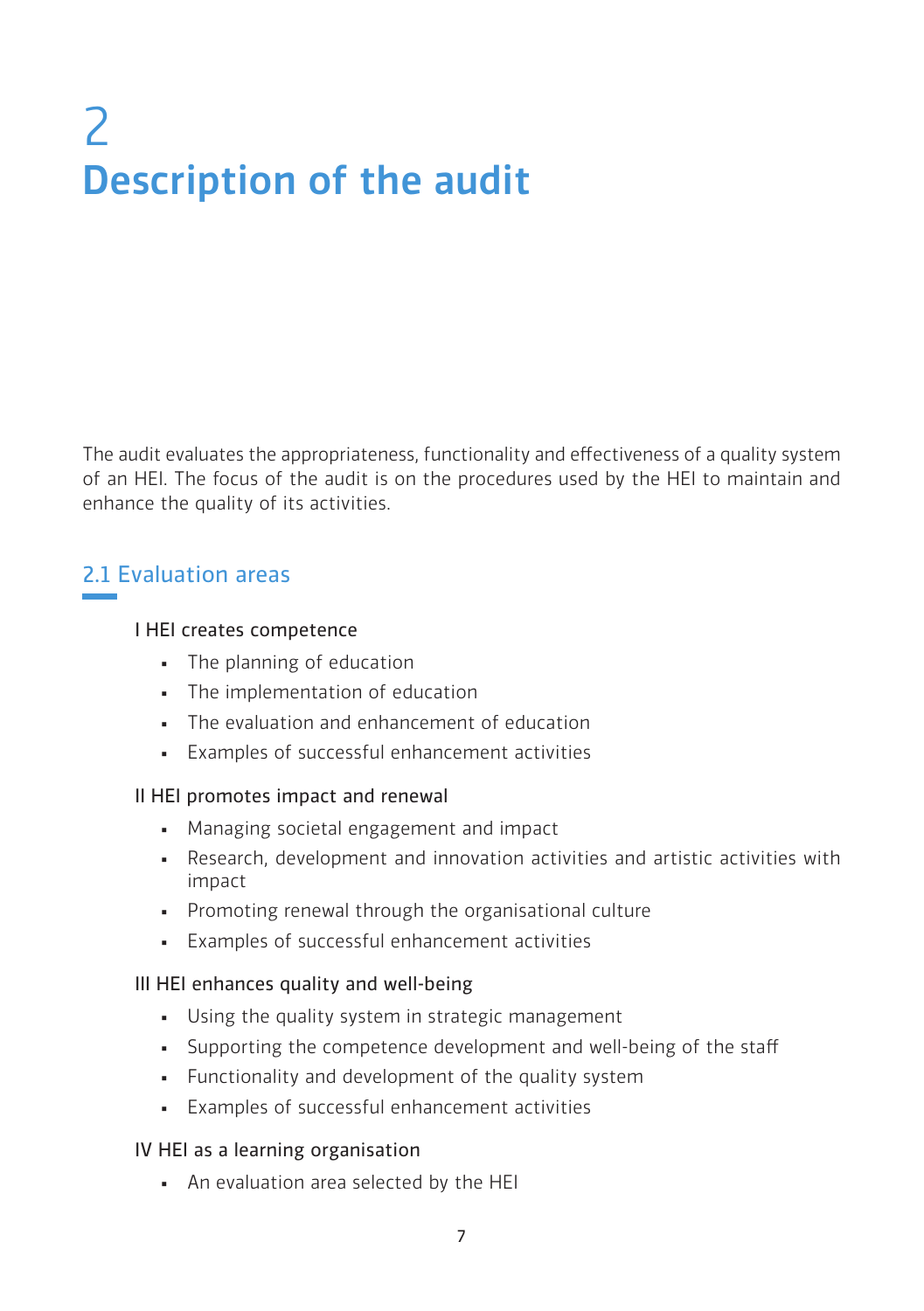# 2 Description of the audit

The audit evaluates the appropriateness, functionality and effectiveness of a quality system of an HEI. The focus of the audit is on the procedures used by the HEI to maintain and enhance the quality of its activities.

## 2.1 Evaluation areas

#### I HEI creates competence

- The planning of education
- **•** The implementation of education
- The evaluation and enhancement of education
- Examples of successful enhancement activities

#### II HEI promotes impact and renewal

- Managing societal engagement and impact
- Research, development and innovation activities and artistic activities with impact
- Promoting renewal through the organisational culture
- Examples of successful enhancement activities

#### III HEI enhances quality and well-being

- Using the quality system in strategic management
- Supporting the competence development and well-being of the staff
- **•** Functionality and development of the quality system
- Examples of successful enhancement activities

#### IV HEI as a learning organisation

▪ An evaluation area selected by the HEI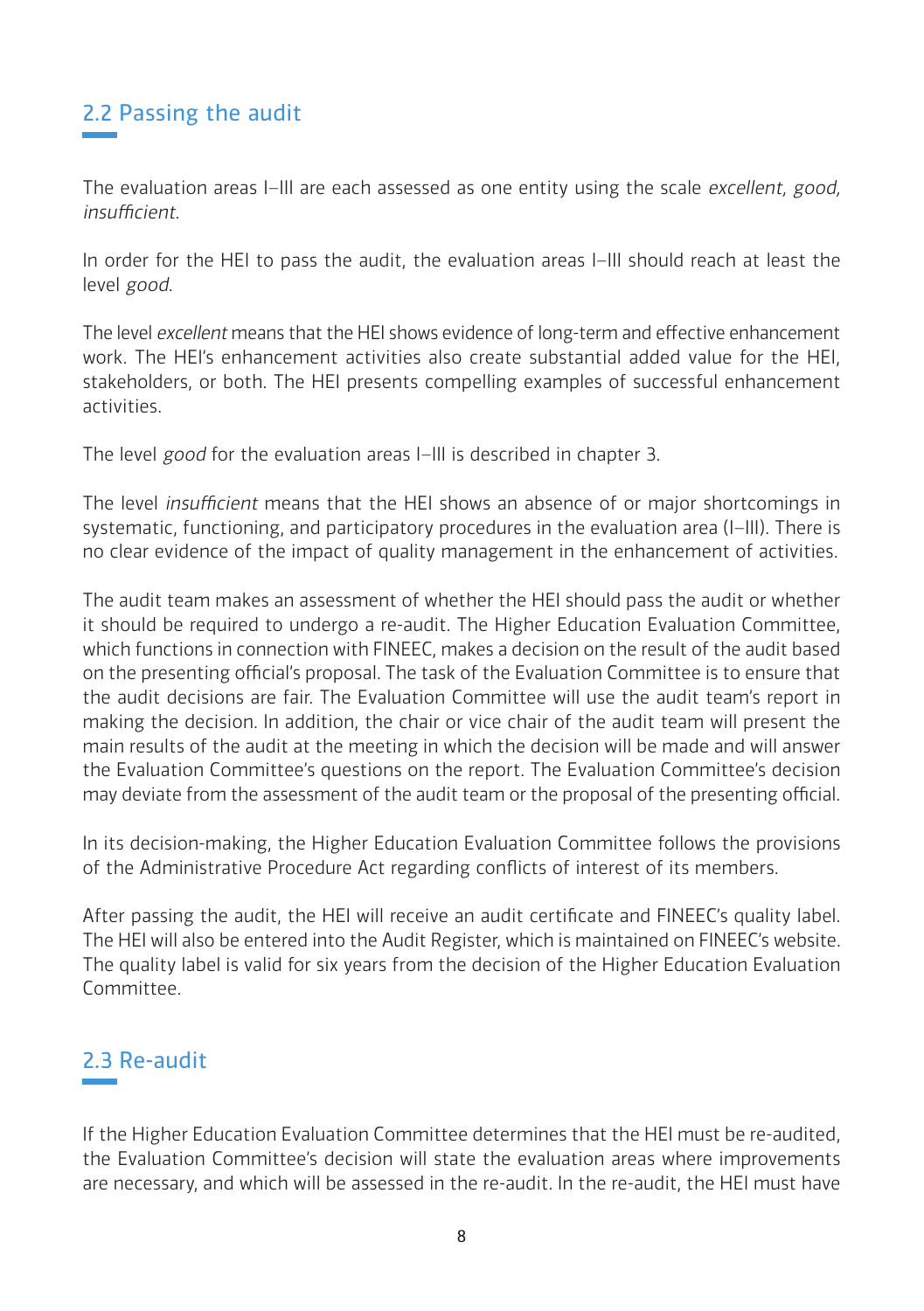## 2.2 Passing the audit

The evaluation areas I–III are each assessed as one entity using the scale excellent, good, insufficient.

In order for the HEI to pass the audit, the evaluation areas I–III should reach at least the level good.

The level excellent means that the HEI shows evidence of long-term and effective enhancement work. The HEI's enhancement activities also create substantial added value for the HEI, stakeholders, or both. The HEI presents compelling examples of successful enhancement activities.

The level good for the evaluation areas I-III is described in chapter 3.

The level insufficient means that the HEI shows an absence of or major shortcomings in systematic, functioning, and participatory procedures in the evaluation area (I-III). There is no clear evidence of the impact of quality management in the enhancement of activities.

The audit team makes an assessment of whether the HEI should pass the audit or whether it should be required to undergo a re-audit. The Higher Education Evaluation Committee, which functions in connection with FINEEC, makes a decision on the result of the audit based on the presenting official's proposal. The task of the Evaluation Committee is to ensure that the audit decisions are fair. The Evaluation Committee will use the audit team's report in making the decision. In addition, the chair or vice chair of the audit team will present the main results of the audit at the meeting in which the decision will be made and will answer the Evaluation Committee's questions on the report. The Evaluation Committee's decision may deviate from the assessment of the audit team or the proposal of the presenting official.

In its decision-making, the Higher Education Evaluation Committee follows the provisions of the Administrative Procedure Act regarding conflicts of interest of its members.

After passing the audit, the HEI will receive an audit certificate and FINEEC's quality label. The HEI will also be entered into the Audit Register, which is maintained on FINEEC's website. The quality label is valid for six years from the decision of the Higher Education Evaluation Committee.

## 2.3 Re-audit

If the Higher Education Evaluation Committee determines that the HEI must be re-audited, the Evaluation Committee's decision will state the evaluation areas where improvements are necessary, and which will be assessed in the re-audit. In the re-audit, the HEI must have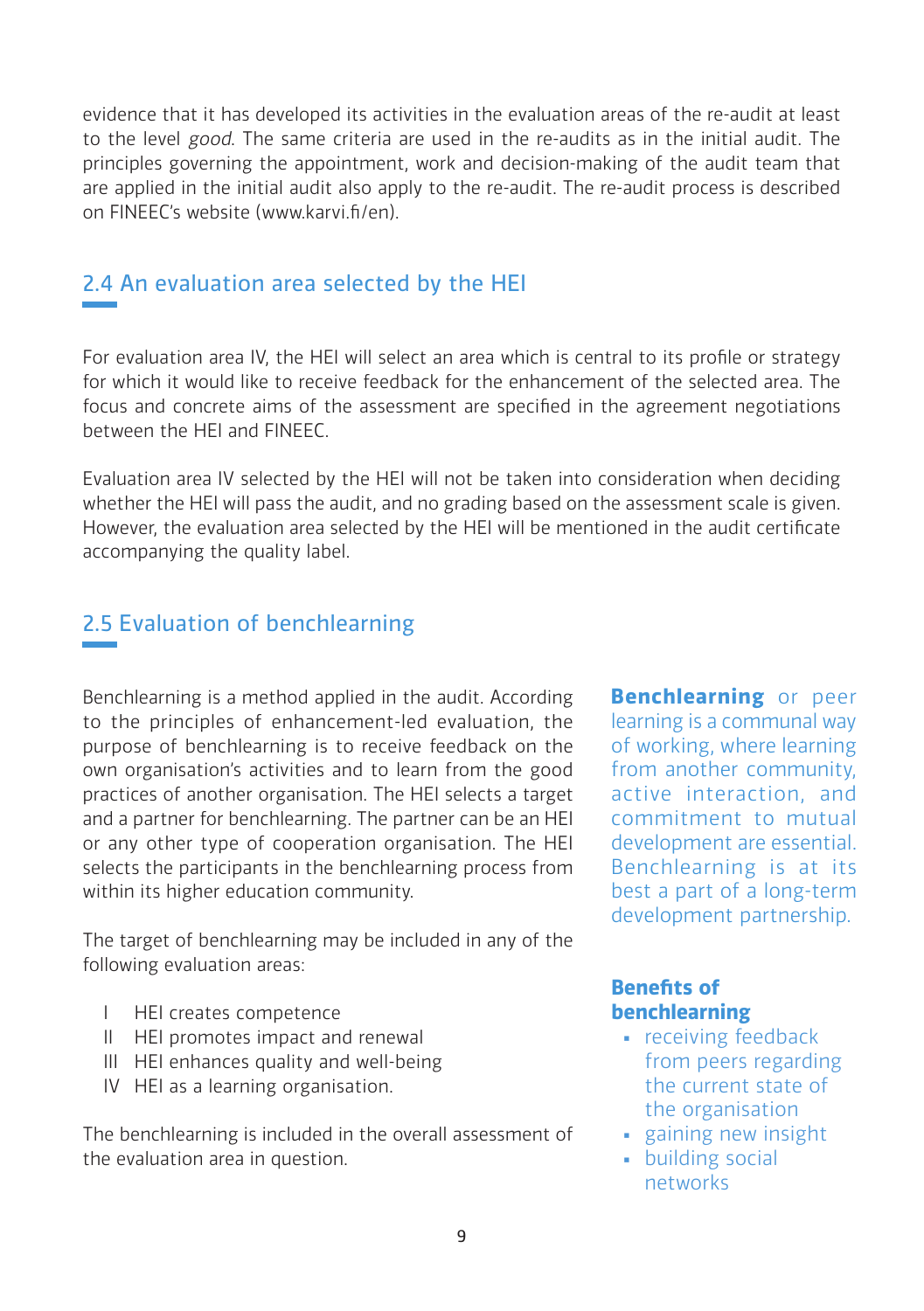evidence that it has developed its activities in the evaluation areas of the re-audit at least to the level good. The same criteria are used in the re-audits as in the initial audit. The principles governing the appointment, work and decision-making of the audit team that are applied in the initial audit also apply to the re-audit. The re-audit process is described on FINEEC's website (www.karvi.fi/en).

## 2.4 An evaluation area selected by the HEI

For evaluation area IV, the HEI will select an area which is central to its profile or strategy for which it would like to receive feedback for the enhancement of the selected area. The focus and concrete aims of the assessment are specified in the agreement negotiations between the HEI and FINEEC.

Evaluation area IV selected by the HEI will not be taken into consideration when deciding whether the HEI will pass the audit, and no grading based on the assessment scale is given. However, the evaluation area selected by the HEI will be mentioned in the audit certificate accompanying the quality label.

## 2.5 Evaluation of benchlearning

Benchlearning is a method applied in the audit. According to the principles of enhancement-led evaluation, the purpose of benchlearning is to receive feedback on the own organisation's activities and to learn from the good practices of another organisation. The HEI selects a target and a partner for benchlearning. The partner can be an HEI or any other type of cooperation organisation. The HEI selects the participants in the benchlearning process from within its higher education community.

The target of benchlearning may be included in any of the following evaluation areas:

- I HEI creates competence
- II HEI promotes impact and renewal
- III HEI enhances quality and well-being
- IV HEI as a learning organisation.

The benchlearning is included in the overall assessment of the evaluation area in question.

**Benchlearning** or peer learning is a communal way of working, where learning from another community, active interaction, and commitment to mutual development are essential. Benchlearning is at its best a part of a long-term development partnership.

## **Benefits of benchlearning**

- receiving feedback from peers regarding the current state of the organisation
- gaining new insight
- building social networks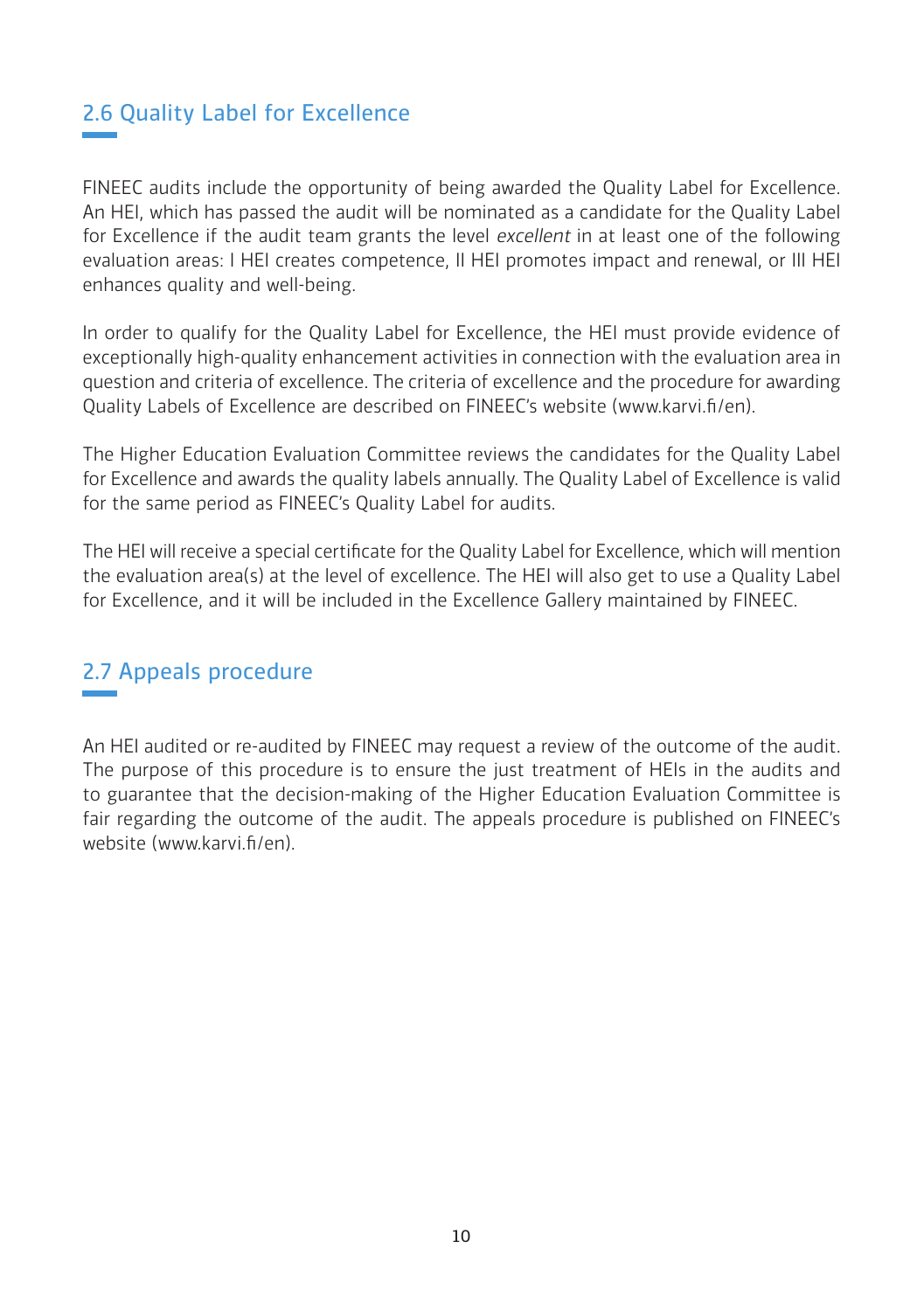## 2.6 Quality Label for Excellence

FINEEC audits include the opportunity of being awarded the Quality Label for Excellence. An HEI, which has passed the audit will be nominated as a candidate for the Quality Label for Excellence if the audit team grants the level excellent in at least one of the following evaluation areas: I HEI creates competence, II HEI promotes impact and renewal, or III HEI enhances quality and well-being.

In order to qualify for the Quality Label for Excellence, the HEI must provide evidence of exceptionally high-quality enhancement activities in connection with the evaluation area in question and criteria of excellence. The criteria of excellence and the procedure for awarding Quality Labels of Excellence are described on FINEEC's website [\(www.karvi.fi/en\)](http://www.karvi.fi/en).

The Higher Education Evaluation Committee reviews the candidates for the Quality Label for Excellence and awards the quality labels annually. The Quality Label of Excellence is valid for the same period as FINEEC's Quality Label for audits.

The HEI will receive a special certificate for the Quality Label for Excellence, which will mention the evaluation area(s) at the level of excellence. The HEI will also get to use a Quality Label for Excellence, and it will be included in the Excellence Gallery maintained by FINEEC.

## 2.7 Appeals procedure

An HEI audited or re-audited by FINEEC may request a review of the outcome of the audit. The purpose of this procedure is to ensure the just treatment of HEIs in the audits and to guarantee that the decision-making of the Higher Education Evaluation Committee is fair regarding the outcome of the audit. The appeals procedure is published on FINEEC's website (www.karvi.fi/en).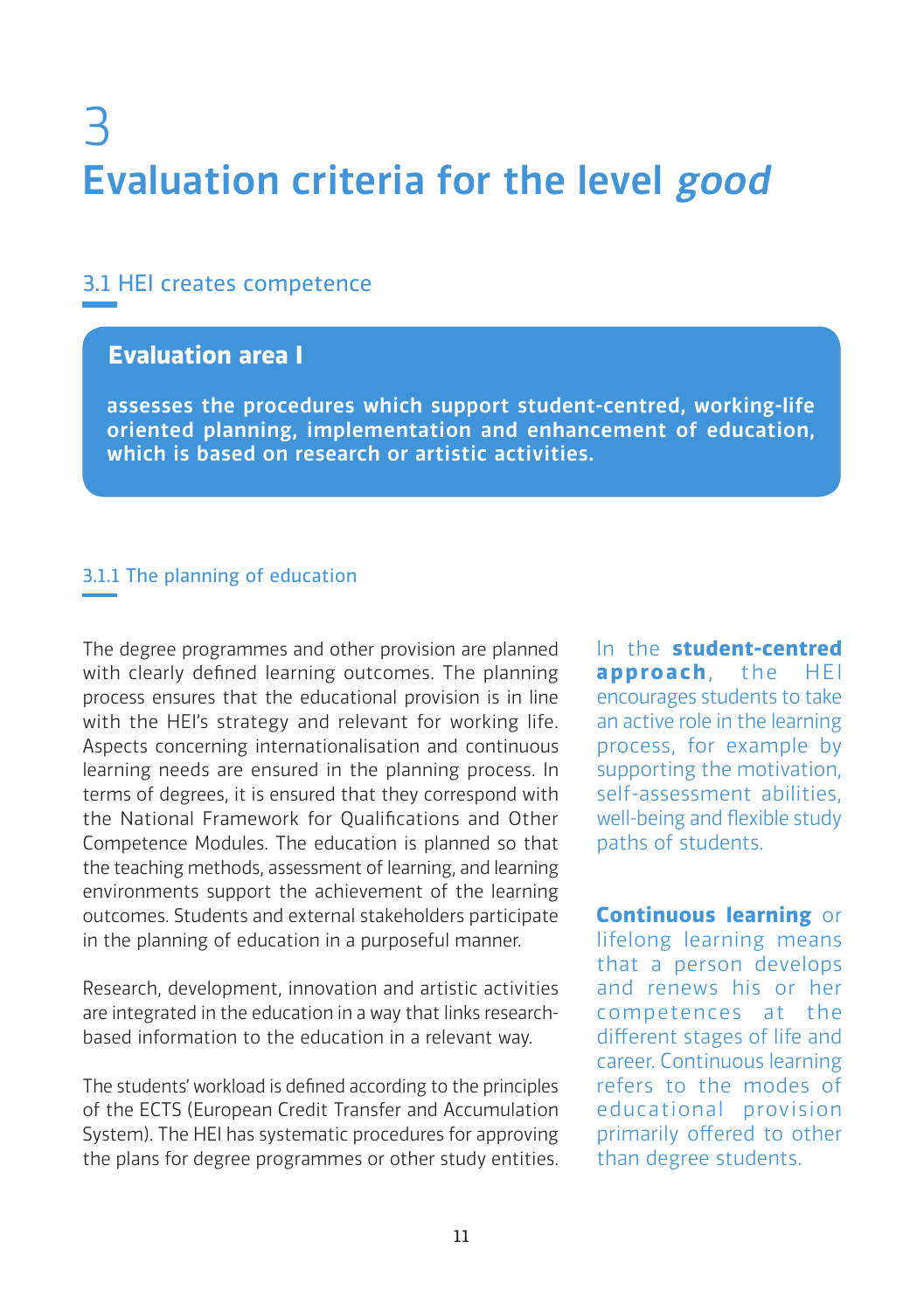# 3 Evaluation criteria for the level good

## 3.1 HEI creates competence

## **Evaluation area I**

assesses the procedures which support student-centred, working-life oriented planning, implementation and enhancement of education, which is based on research or artistic activities.

## 3.1.1 The planning of education

The degree programmes and other provision are planned with clearly defined learning outcomes. The planning process ensures that the educational provision is in line with the HEI's strategy and relevant for working life. Aspects concerning internationalisation and continuous learning needs are ensured in the planning process. In terms of degrees, it is ensured that they correspond with the National Framework for Qualifications and Other Competence Modules. The education is planned so that the teaching methods, assessment of learning, and learning environments support the achievement of the learning outcomes. Students and external stakeholders participate in the planning of education in a purposeful manner.

Research, development, innovation and artistic activities are integrated in the education in a way that links researchbased information to the education in a relevant way.

The students' workload is defined according to the principles of the ECTS (European Credit Transfer and Accumulation System). The HEI has systematic procedures for approving the plans for degree programmes or other study entities. In the **student-centred approach**, the HEI encourages students to take an active role in the learning process, for example by supporting the motivation, self-assessment abilities, well-being and flexible study paths of students.

**Continuous learning** or lifelong learning means that a person develops and renews his or her competences at the different stages of life and career. Continuous learning refers to the modes of educational provision primarily offered to other than degree students.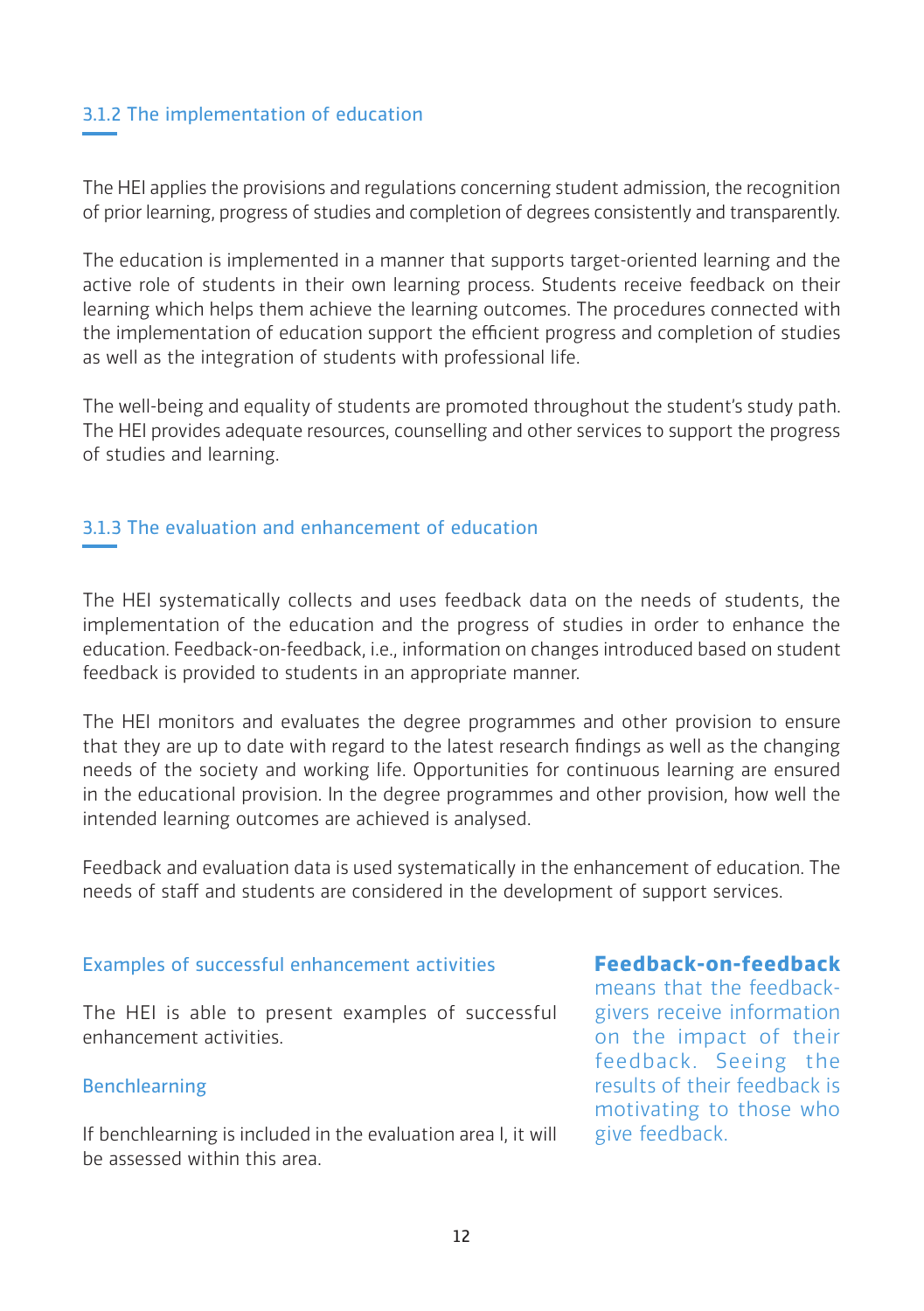## 3.1.2 The implementation of education

The HEI applies the provisions and regulations concerning student admission, the recognition of prior learning, progress of studies and completion of degrees consistently and transparently.

The education is implemented in a manner that supports target-oriented learning and the active role of students in their own learning process. Students receive feedback on their learning which helps them achieve the learning outcomes. The procedures connected with the implementation of education support the efficient progress and completion of studies as well as the integration of students with professional life.

The well-being and equality of students are promoted throughout the student's study path. The HEI provides adequate resources, counselling and other services to support the progress of studies and learning.

## 3.1.3 The evaluation and enhancement of education

The HEI systematically collects and uses feedback data on the needs of students, the implementation of the education and the progress of studies in order to enhance the education. Feedback-on-feedback, i.e., information on changes introduced based on student feedback is provided to students in an appropriate manner.

The HEI monitors and evaluates the degree programmes and other provision to ensure that they are up to date with regard to the latest research findings as well as the changing needs of the society and working life. Opportunities for continuous learning are ensured in the educational provision. In the degree programmes and other provision, how well the intended learning outcomes are achieved is analysed.

Feedback and evaluation data is used systematically in the enhancement of education. The needs of staff and students are considered in the development of support services.

#### Examples of successful enhancement activities

The HEI is able to present examples of successful enhancement activities.

## Benchlearning

If benchlearning is included in the evaluation area I, it will be assessed within this area.

## **Feedback-on-feedback**

means that the feedbackgivers receive information on the impact of their feedback. Seeing the results of their feedback is motivating to those who give feedback.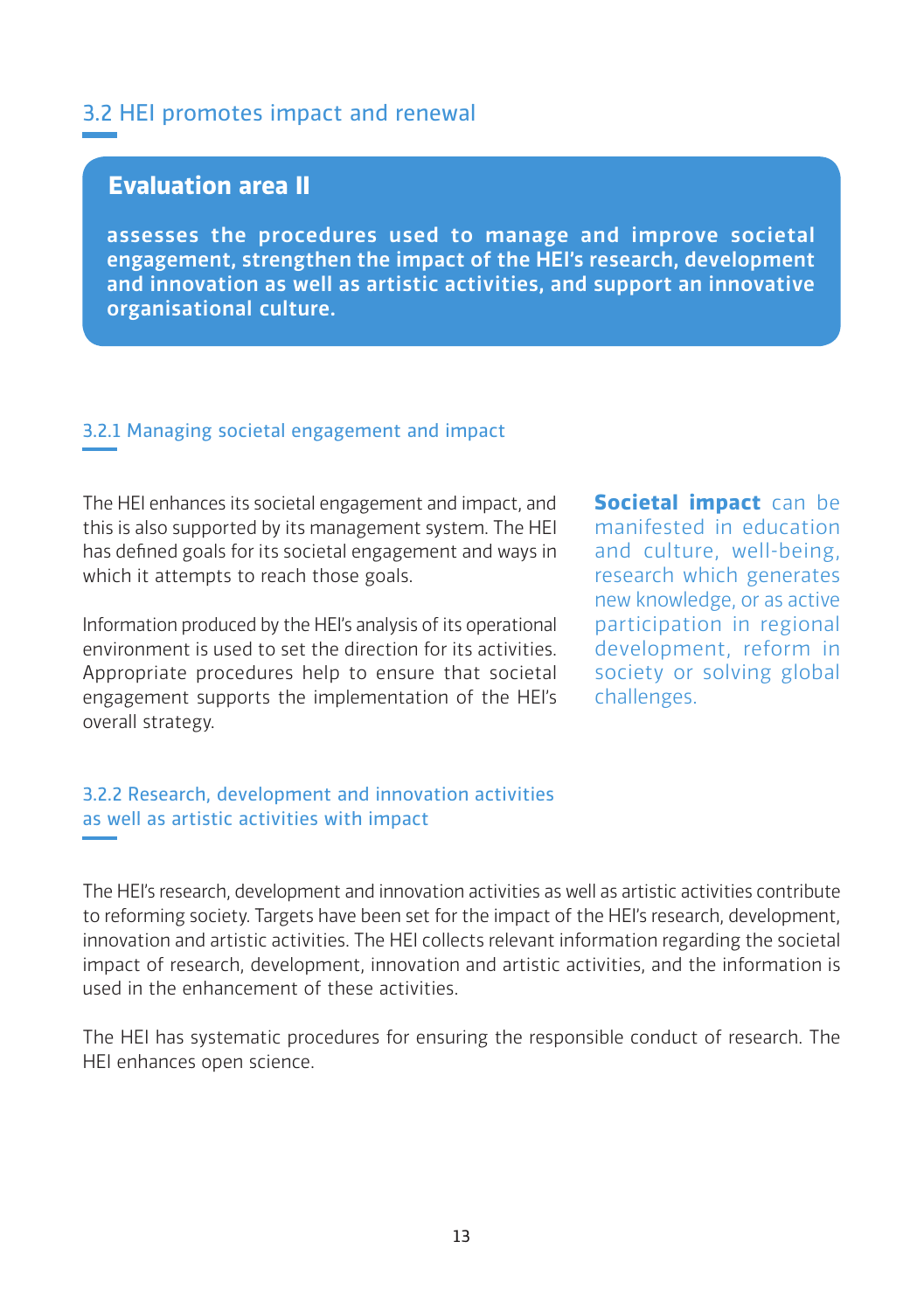## 3.2 HEI promotes impact and renewal

## **Evaluation area II**

assesses the procedures used to manage and improve societal engagement, strengthen the impact of the HEI's research, development and innovation as well as artistic activities, and support an innovative organisational culture.

#### 3.2.1 Managing societal engagement and impact

The HEI enhances its societal engagement and impact, and this is also supported by its management system. The HEI has defined goals for its societal engagement and ways in which it attempts to reach those goals.

Information produced by the HEI's analysis of its operational environment is used to set the direction for its activities. Appropriate procedures help to ensure that societal engagement supports the implementation of the HEI's overall strategy.

**Societal impact** can be manifested in education and culture, well-being, research which generates new knowledge, or as active participation in regional development, reform in society or solving global challenges.

## 3.2.2 Research, development and innovation activities as well as artistic activities with impact

The HEI's research, development and innovation activities as well as artistic activities contribute to reforming society. Targets have been set for the impact of the HEI's research, development, innovation and artistic activities. The HEI collects relevant information regarding the societal impact of research, development, innovation and artistic activities, and the information is used in the enhancement of these activities.

The HEI has systematic procedures for ensuring the responsible conduct of research. The HEI enhances open science.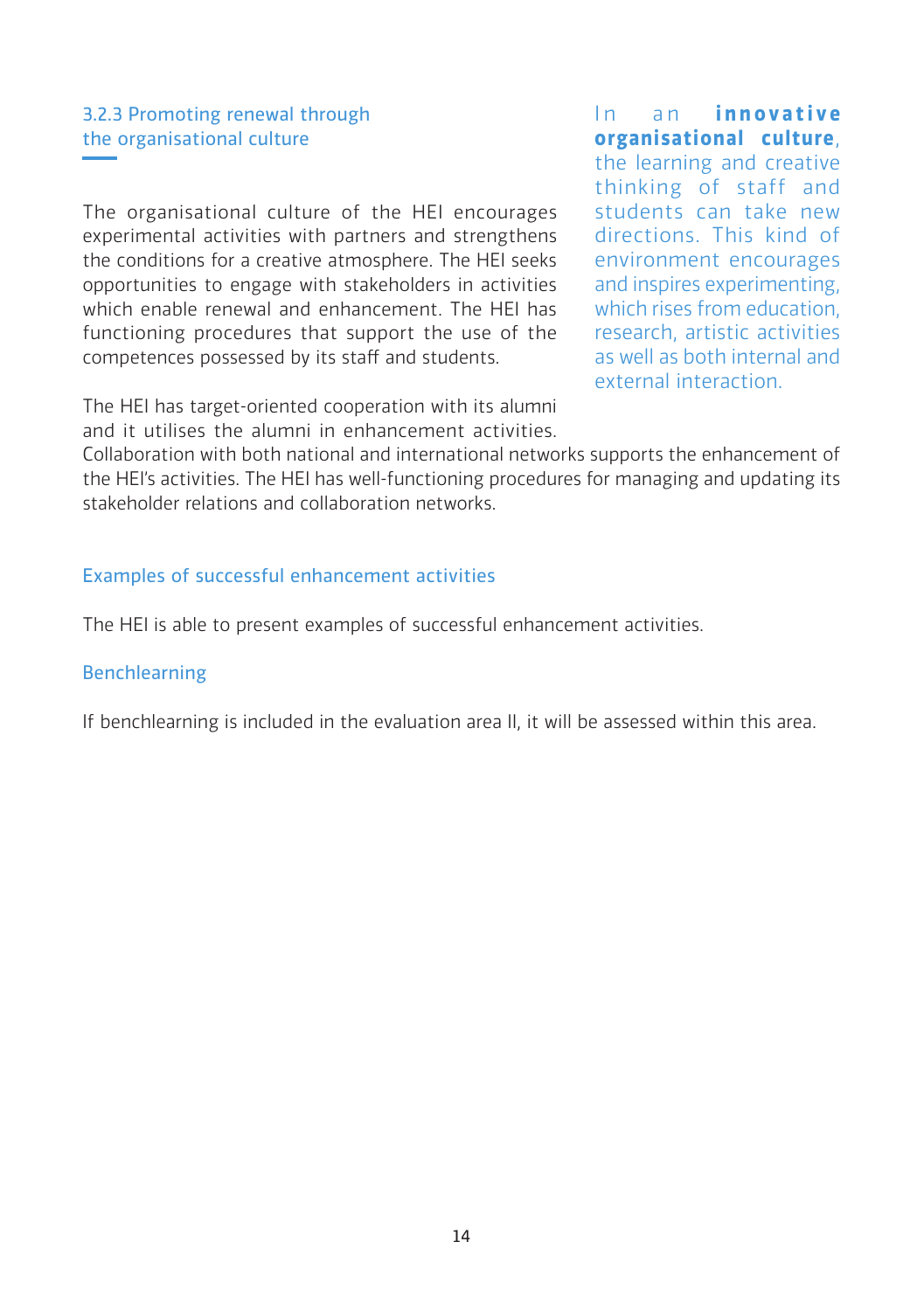## 3.2.3 Promoting renewal through the organisational culture

The organisational culture of the HEI encourages experimental activities with partners and strengthens the conditions for a creative atmosphere. The HEI seeks opportunities to engage with stakeholders in activities which enable renewal and enhancement. The HEI has functioning procedures that support the use of the competences possessed by its staff and students.

The HEI has target-oriented cooperation with its alumni and it utilises the alumni in enhancement activities.

In an *innovative* **organisational culture**, the learning and creative thinking of staff and students can take new directions. This kind of environment encourages and inspires experimenting, which rises from education, research, artistic activities as well as both internal and external interaction.

Collaboration with both national and international networks supports the enhancement of the HEI's activities. The HEI has well-functioning procedures for managing and updating its stakeholder relations and collaboration networks.

#### Examples of successful enhancement activities

The HEI is able to present examples of successful enhancement activities.

#### Benchlearning

If benchlearning is included in the evaluation area II, it will be assessed within this area.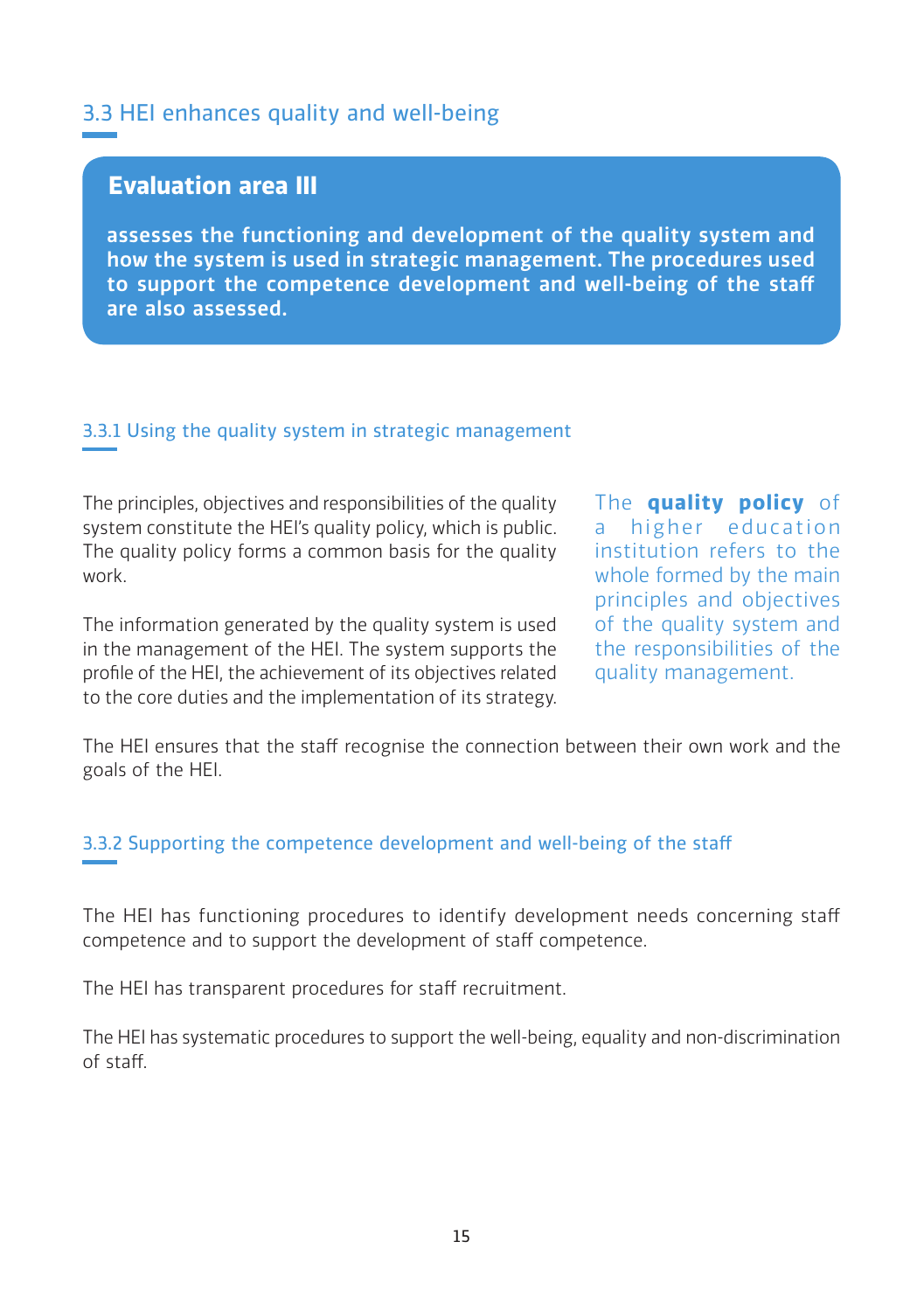## 3.3 HEI enhances quality and well-being

## **Evaluation area III**

assesses the functioning and development of the quality system and how the system is used in strategic management. The procedures used to support the competence development and well-being of the staff are also assessed.

#### 3.3.1 Using the quality system in strategic management

The principles, objectives and responsibilities of the quality system constitute the HEI's quality policy, which is public. The quality policy forms a common basis for the quality work.

The information generated by the quality system is used in the management of the HEI. The system supports the profile of the HEI, the achievement of its objectives related to the core duties and the implementation of its strategy. The **quality policy** of a higher education institution refers to the whole formed by the main principles and objectives of the quality system and the responsibilities of the quality management.

The HEI ensures that the staff recognise the connection between their own work and the goals of the HEI.

#### 3.3.2 Supporting the competence development and well-being of the staff

The HEI has functioning procedures to identify development needs concerning staff competence and to support the development of staff competence.

The HEI has transparent procedures for staff recruitment.

The HEI has systematic procedures to support the well-being, equality and non-discrimination of staff.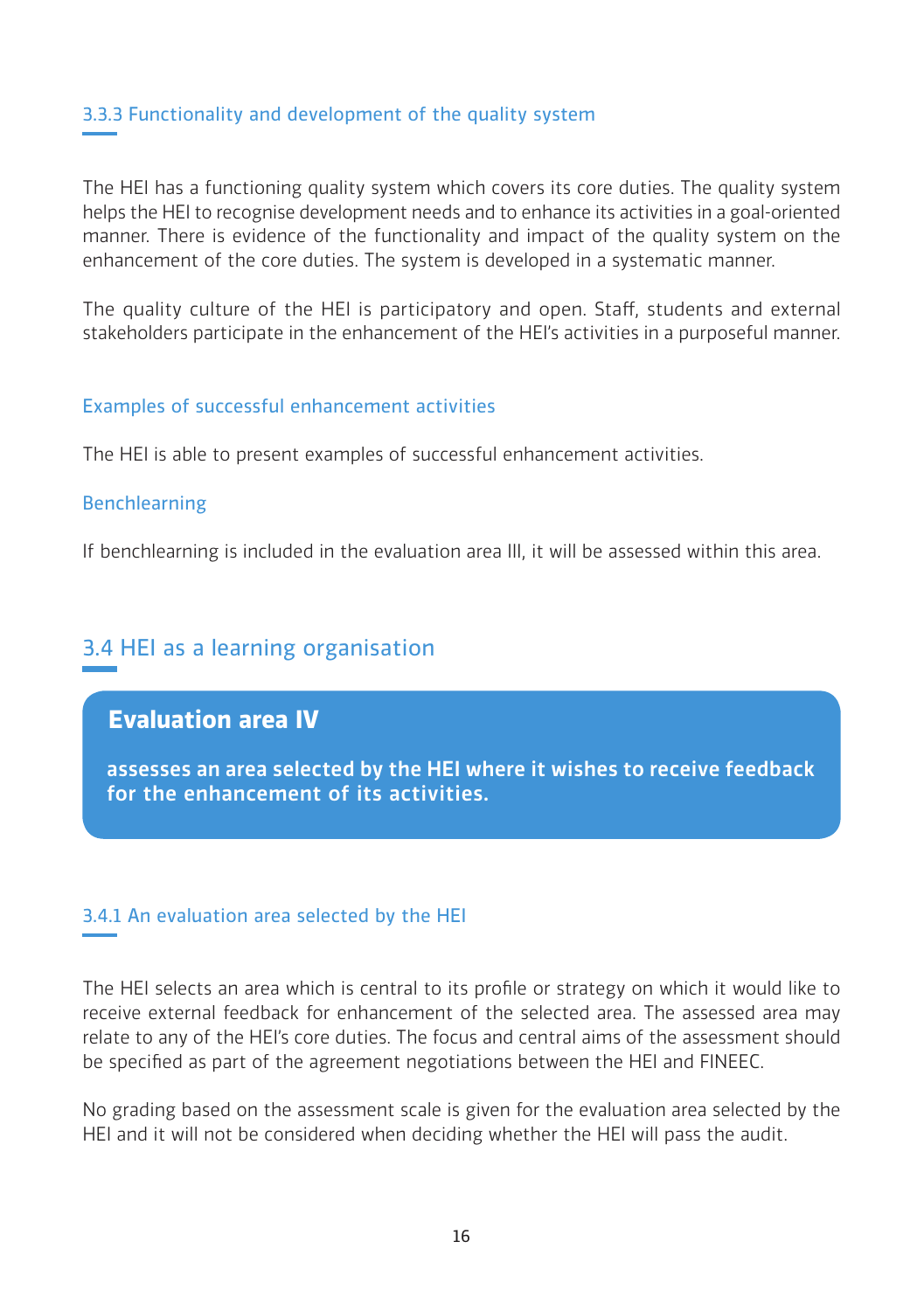#### 3.3.3 Functionality and development of the quality system

The HEI has a functioning quality system which covers its core duties. The quality system helps the HEI to recognise development needs and to enhance its activities in a goal-oriented manner. There is evidence of the functionality and impact of the quality system on the enhancement of the core duties. The system is developed in a systematic manner.

The quality culture of the HEI is participatory and open. Staff, students and external stakeholders participate in the enhancement of the HEI's activities in a purposeful manner.

#### Examples of successful enhancement activities

The HEI is able to present examples of successful enhancement activities.

#### Benchlearning

If benchlearning is included in the evaluation area III, it will be assessed within this area.

## 3.4 HEI as a learning organisation

## **Evaluation area IV**

assesses an area selected by the HEI where it wishes to receive feedback for the enhancement of its activities.

#### 3.4.1 An evaluation area selected by the HEI

The HEI selects an area which is central to its profile or strategy on which it would like to receive external feedback for enhancement of the selected area. The assessed area may relate to any of the HEI's core duties. The focus and central aims of the assessment should be specified as part of the agreement negotiations between the HEI and FINEEC.

No grading based on the assessment scale is given for the evaluation area selected by the HEI and it will not be considered when deciding whether the HEI will pass the audit.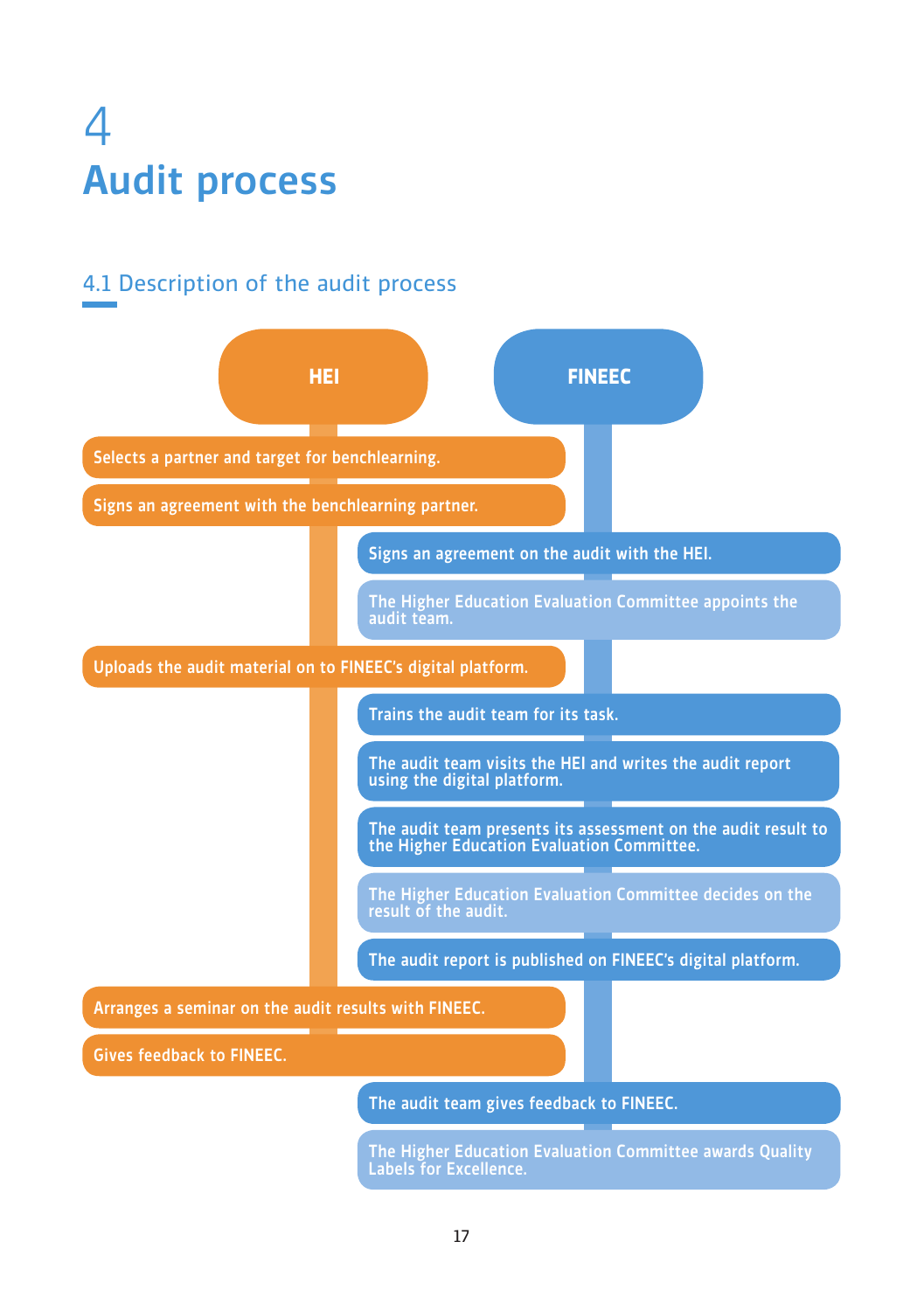

## 4.1 Description of the audit process

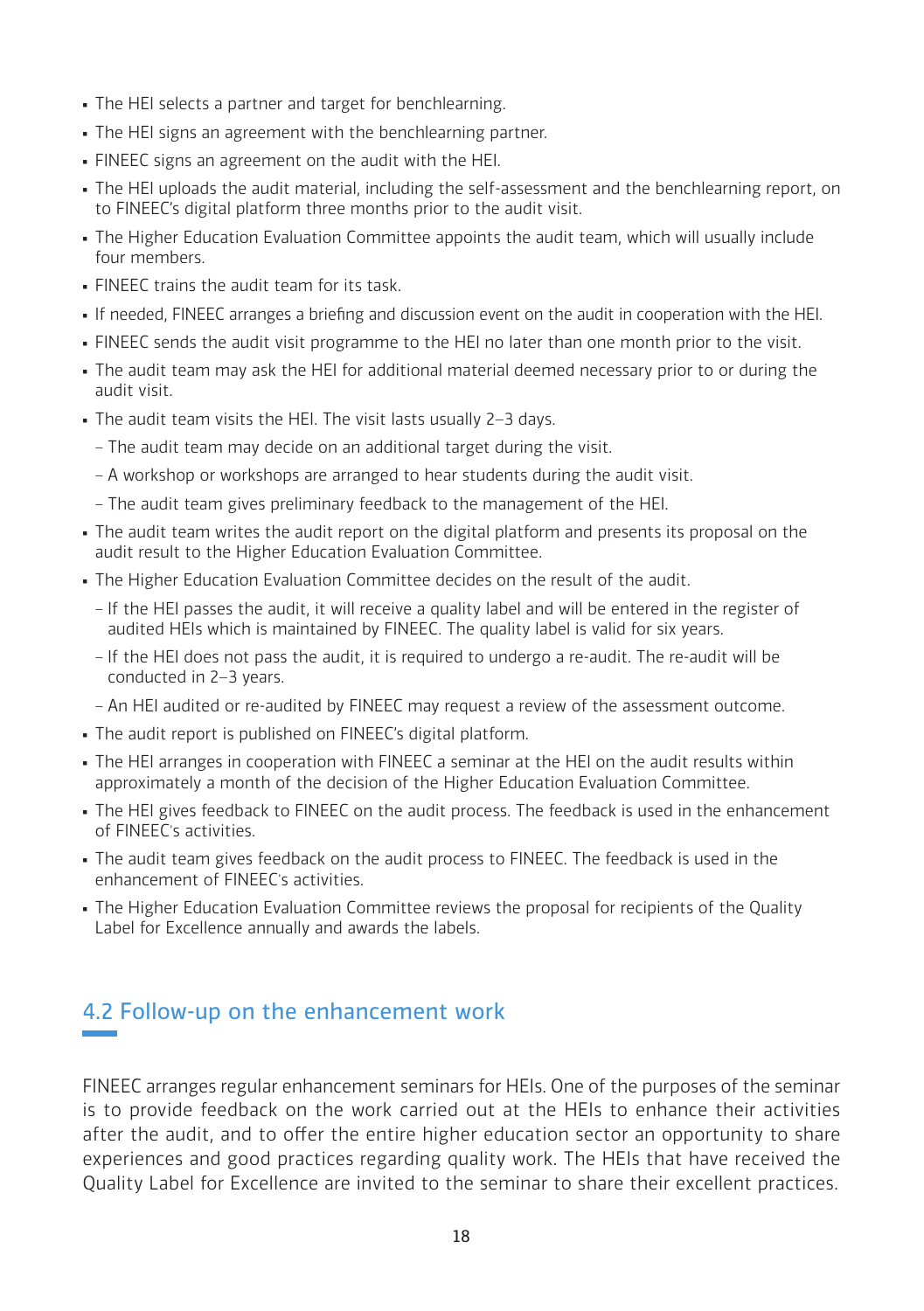- The HEI selects a partner and target for benchlearning.
- The HEI signs an agreement with the benchlearning partner.
- FINEEC signs an agreement on the audit with the HEI.
- . The HEI uploads the audit material, including the self-assessment and the benchlearning report, on to FINEEC's digital platform three months prior to the audit visit.
- The Higher Education Evaluation Committee appoints the audit team, which will usually include four members.
- . FINEEC trains the audit team for its task.
- If needed, FINEEC arranges a briefing and discussion event on the audit in cooperation with the HEI.
- FINEEC sends the audit visit programme to the HEI no later than one month prior to the visit.
- The audit team may ask the HEI for additional material deemed necessary prior to or during the audit visit.
- The audit team visits the HEI. The visit lasts usually 2–3 days.
	- ‒ The audit team may decide on an additional target during the visit.
	- ‒ A workshop or workshops are arranged to hear students during the audit visit.
	- ‒ The audit team gives preliminary feedback to the management of the HEI.
- . The audit team writes the audit report on the digital platform and presents its proposal on the audit result to the Higher Education Evaluation Committee.
- . The Higher Education Evaluation Committee decides on the result of the audit.
	- ‒ If the HEI passes the audit, it will receive a quality label and will be entered in the register of audited HEIs which is maintained by FINEEC. The quality label is valid for six years.
	- ‒ If the HEI does not pass the audit, it is required to undergo a re-audit. The re-audit will be conducted in 2–3 years.
	- ‒ An HEI audited or re-audited by FINEEC may request a review of the assessment outcome.
- The audit report is published on FINEEC's digital platform.
- . The HEI arranges in cooperation with FINEEC a seminar at the HEI on the audit results within approximately a month of the decision of the Higher Education Evaluation Committee.
- The HEI gives feedback to FINEEC on the audit process. The feedback is used in the enhancement of FINEEC's activities.
- . The audit team gives feedback on the audit process to FINEEC. The feedback is used in the enhancement of FINEEC's activities.
- The Higher Education Evaluation Committee reviews the proposal for recipients of the Quality Label for Excellence annually and awards the labels.

## 4.2 Follow-up on the enhancement work

FINEEC arranges regular enhancement seminars for HEIs. One of the purposes of the seminar is to provide feedback on the work carried out at the HEIs to enhance their activities after the audit, and to offer the entire higher education sector an opportunity to share experiences and good practices regarding quality work. The HEIs that have received the Quality Label for Excellence are invited to the seminar to share their excellent practices.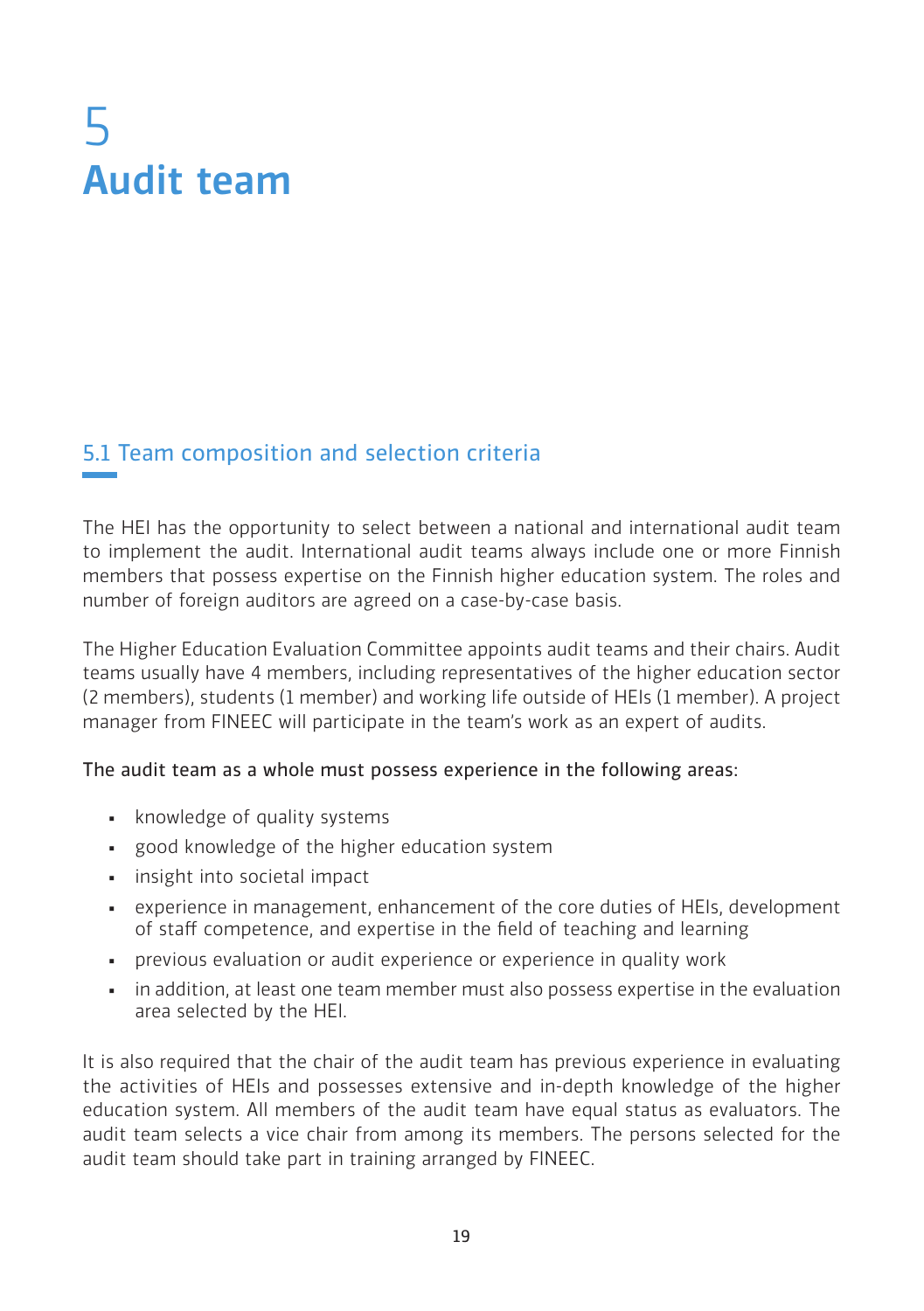# 5 Audit team

## 5.1 Team composition and selection criteria

The HEI has the opportunity to select between a national and international audit team to implement the audit. International audit teams always include one or more Finnish members that possess expertise on the Finnish higher education system. The roles and number of foreign auditors are agreed on a case-by-case basis.

The Higher Education Evaluation Committee appoints audit teams and their chairs. Audit teams usually have 4 members, including representatives of the higher education sector (2 members), students (1 member) and working life outside of HEIs (1 member). A project manager from FINEEC will participate in the team's work as an expert of audits.

#### The audit team as a whole must possess experience in the following areas:

- knowledge of quality systems
- good knowledge of the higher education system
- **•** insight into societal impact
- experience in management, enhancement of the core duties of HEIs, development of staff competence, and expertise in the field of teaching and learning
- **•** previous evaluation or audit experience or experience in quality work
- . in addition, at least one team member must also possess expertise in the evaluation area selected by the HEI.

It is also required that the chair of the audit team has previous experience in evaluating the activities of HEIs and possesses extensive and in-depth knowledge of the higher education system. All members of the audit team have equal status as evaluators. The audit team selects a vice chair from among its members. The persons selected for the audit team should take part in training arranged by FINEEC.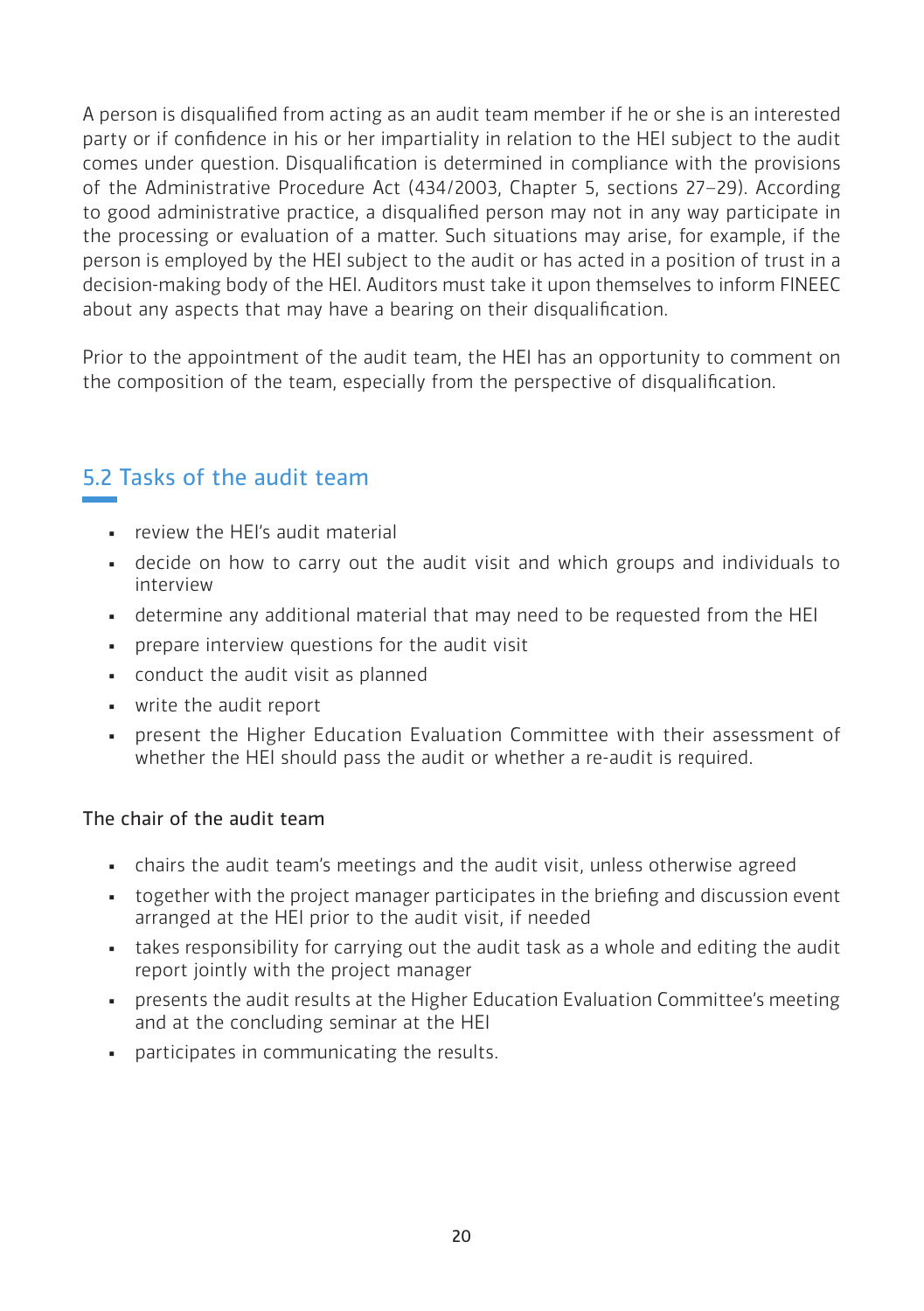A person is disqualified from acting as an audit team member if he or she is an interested party or if confidence in his or her impartiality in relation to the HEI subject to the audit comes under question. Disqualification is determined in compliance with the provisions of the Administrative Procedure Act (434/2003, Chapter 5, sections 27–29). According to good administrative practice, a disqualified person may not in any way participate in the processing or evaluation of a matter. Such situations may arise, for example, if the person is employed by the HEI subject to the audit or has acted in a position of trust in a decision-making body of the HEI. Auditors must take it upon themselves to inform FINEEC about any aspects that may have a bearing on their disqualification.

Prior to the appointment of the audit team, the HEI has an opportunity to comment on the composition of the team, especially from the perspective of disqualification.

## 5.2 Tasks of the audit team

- **review the HEI's audit material**
- decide on how to carry out the audit visit and which groups and individuals to interview
- determine any additional material that may need to be requested from the HEI
- prepare interview questions for the audit visit
- conduct the audit visit as planned
- write the audit report
- **•** present the Higher Education Evaluation Committee with their assessment of whether the HEI should pass the audit or whether a re-audit is required.

## The chair of the audit team

- chairs the audit team's meetings and the audit visit, unless otherwise agreed
- together with the project manager participates in the briefing and discussion event arranged at the HEI prior to the audit visit, if needed
- . takes responsibility for carrying out the audit task as a whole and editing the audit report jointly with the project manager
- presents the audit results at the Higher Education Evaluation Committee's meeting and at the concluding seminar at the HEI
- **•** participates in communicating the results.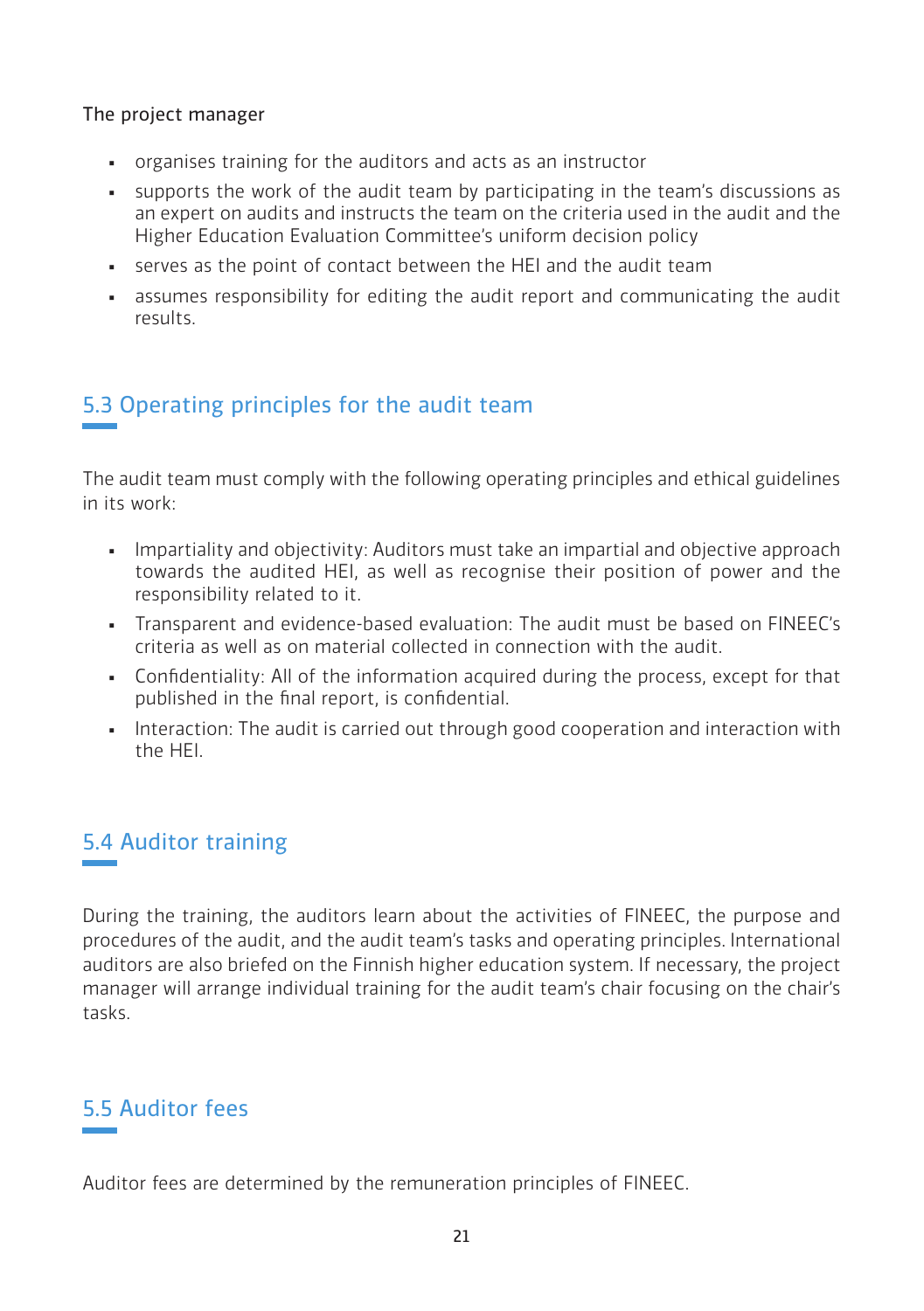The project manager

- organises training for the auditors and acts as an instructor
- supports the work of the audit team by participating in the team's discussions as an expert on audits and instructs the team on the criteria used in the audit and the Higher Education Evaluation Committee's uniform decision policy
- serves as the point of contact between the HEI and the audit team
- assumes responsibility for editing the audit report and communicating the audit results.

## 5.3 Operating principles for the audit team

The audit team must comply with the following operating principles and ethical guidelines in its work:

- Impartiality and objectivity: Auditors must take an impartial and objective approach towards the audited HEI, as well as recognise their position of power and the responsibility related to it.
- Transparent and evidence-based evaluation: The audit must be based on FINEEC's criteria as well as on material collected in connection with the audit.
- Confidentiality: All of the information acquired during the process, except for that published in the final report, is confidential.
- **•** Interaction: The audit is carried out through good cooperation and interaction with the HEI.

## 5.4 Auditor training

During the training, the auditors learn about the activities of FINEEC, the purpose and procedures of the audit, and the audit team's tasks and operating principles. International auditors are also briefed on the Finnish higher education system. If necessary, the project manager will arrange individual training for the audit team's chair focusing on the chair's tasks.

## 5.5 Auditor fees

Auditor fees are determined by the remuneration principles of FINEEC.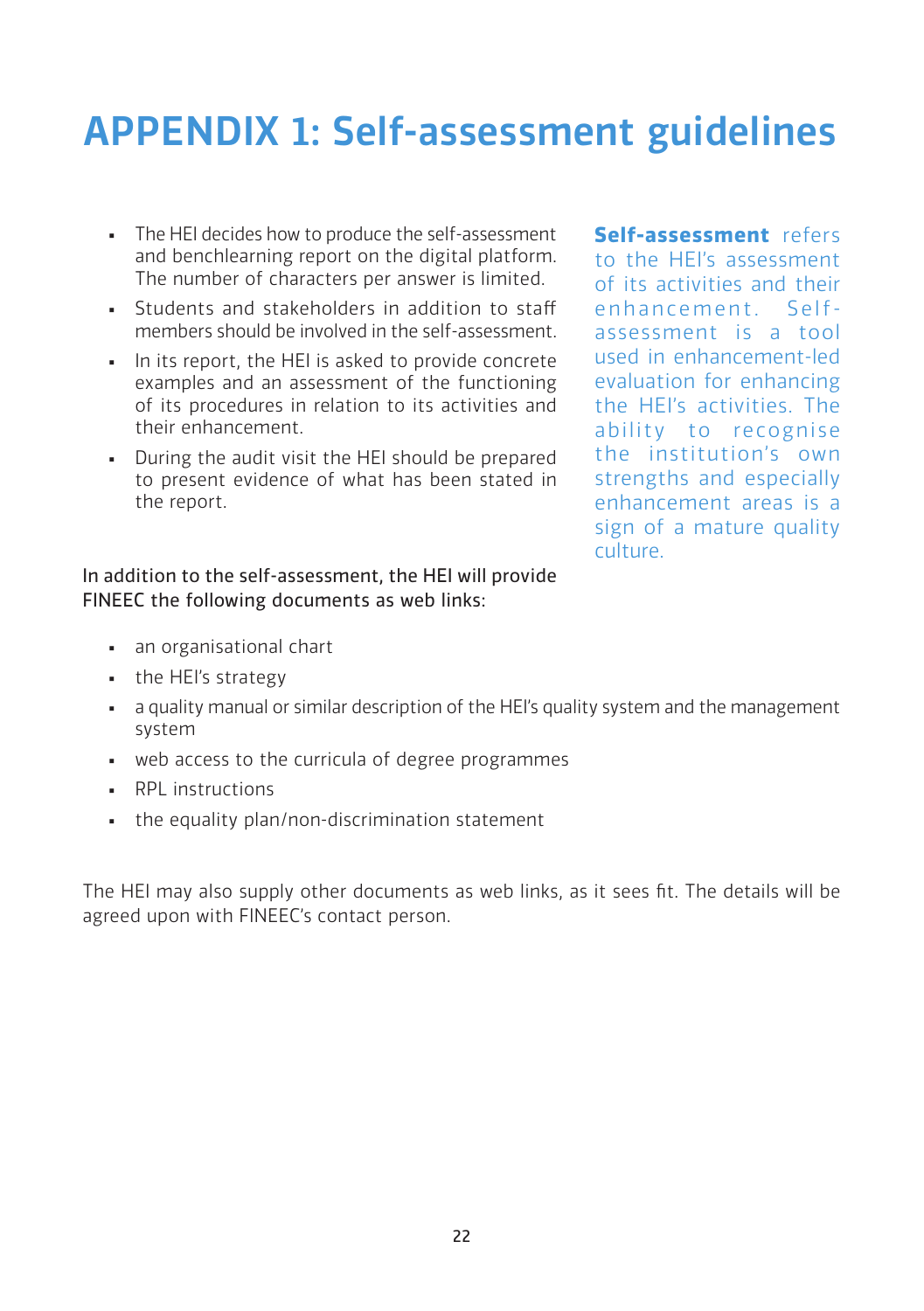## APPENDIX 1: Self-assessment guidelines

- The HEI decides how to produce the self-assessment and benchlearning report on the digital platform. The number of characters per answer is limited.
- Students and stakeholders in addition to staff members should be involved in the self-assessment.
- In its report, the HEI is asked to provide concrete examples and an assessment of the functioning of its procedures in relation to its activities and their enhancement.
- **•** During the audit visit the HEI should be prepared to present evidence of what has been stated in the report.

**Self-assessment** refers to the HEI's assessment of its activities and their enhancement. Selfassessment is a tool used in enhancement-led evaluation for enhancing the HEI's activities. The ability to recognise the institution's own strengths and especially enhancement areas is a sign of a mature quality culture.

#### In addition to the self-assessment, the HEI will provide FINEEC the following documents as web links:

- an organisational chart
- the HEI's strategy
- a quality manual or similar description of the HEI's quality system and the management system
- web access to the curricula of degree programmes
- **•** RPL instructions
- . the equality plan/non-discrimination statement

The HEI may also supply other documents as web links, as it sees fit. The details will be agreed upon with FINEEC's contact person.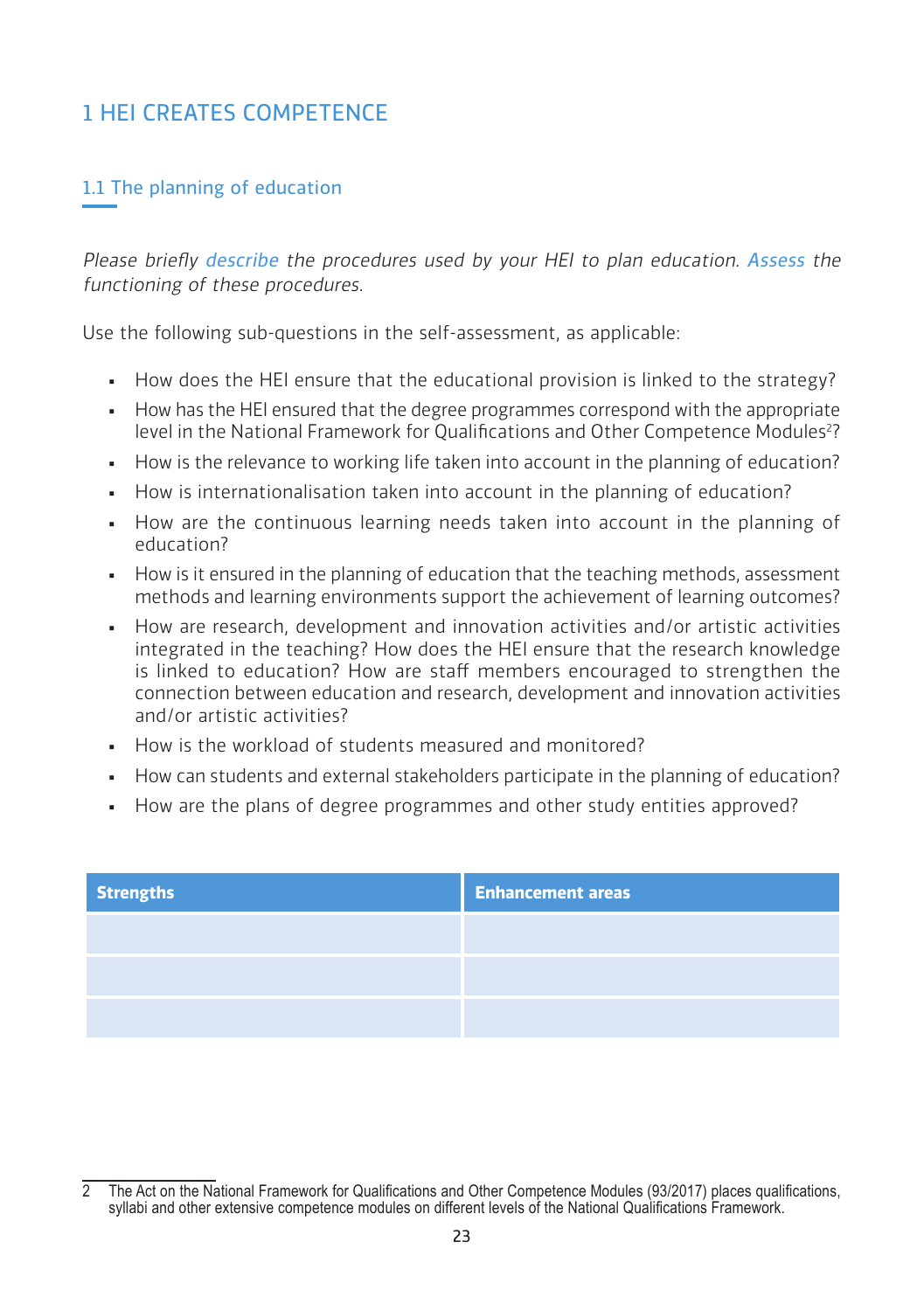## 1 HEI CREATES COMPETENCE

## 1.1 The planning of education

Please briefly describe the procedures used by your HEI to plan education. Assess the functioning of these procedures.

Use the following sub-questions in the self-assessment, as applicable:

- How does the HEI ensure that the educational provision is linked to the strategy?
- How has the HEI ensured that the degree programmes correspond with the appropriate level in the National Framework for Qualifications and Other Competence Modules?
- . How is the relevance to working life taken into account in the planning of education?
- How is internationalisation taken into account in the planning of education?
- How are the continuous learning needs taken into account in the planning of education?
- How is it ensured in the planning of education that the teaching methods, assessment methods and learning environments support the achievement of learning outcomes?
- How are research, development and innovation activities and/or artistic activities integrated in the teaching? How does the HEI ensure that the research knowledge is linked to education? How are staff members encouraged to strengthen the connection between education and research, development and innovation activities and/or artistic activities?
- How is the workload of students measured and monitored?
- How can students and external stakeholders participate in the planning of education?
- How are the plans of degree programmes and other study entities approved?

| <b>Strengths</b> | <b>Enhancement areas</b> |
|------------------|--------------------------|
|                  |                          |
|                  |                          |
|                  |                          |

<sup>2</sup> The Act on the National Framework for Qualifications and Other Competence Modules (93/2017) places qualifications, syllabi and other extensive competence modules on different levels of the National Qualifications Framework.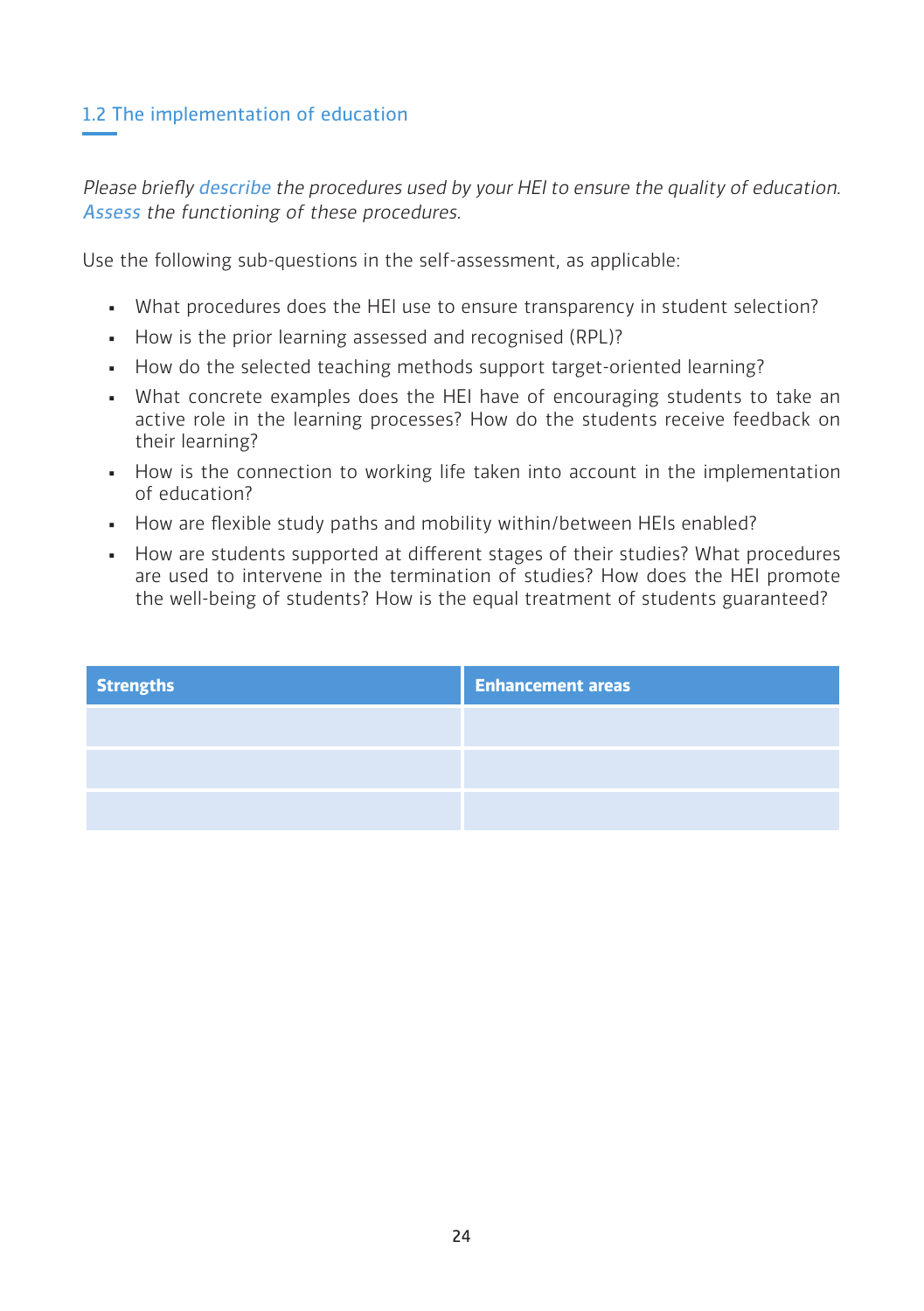## 1.2 The implementation of education

Please briefly describe the procedures used by your HEI to ensure the quality of education. Assess the functioning of these procedures.

Use the following sub-questions in the self-assessment, as applicable:

- . What procedures does the HEI use to ensure transparency in student selection?
- How is the prior learning assessed and recognised (RPL)?
- How do the selected teaching methods support target-oriented learning?
- . What concrete examples does the HEI have of encouraging students to take an active role in the learning processes? How do the students receive feedback on their learning?
- How is the connection to working life taken into account in the implementation of education?
- How are flexible study paths and mobility within/between HEIs enabled?
- How are students supported at different stages of their studies? What procedures are used to intervene in the termination of studies? How does the HEI promote the well-being of students? How is the equal treatment of students guaranteed?

| <b>Strengths</b> | <b>Enhancement areas</b> |
|------------------|--------------------------|
|                  |                          |
|                  |                          |
|                  |                          |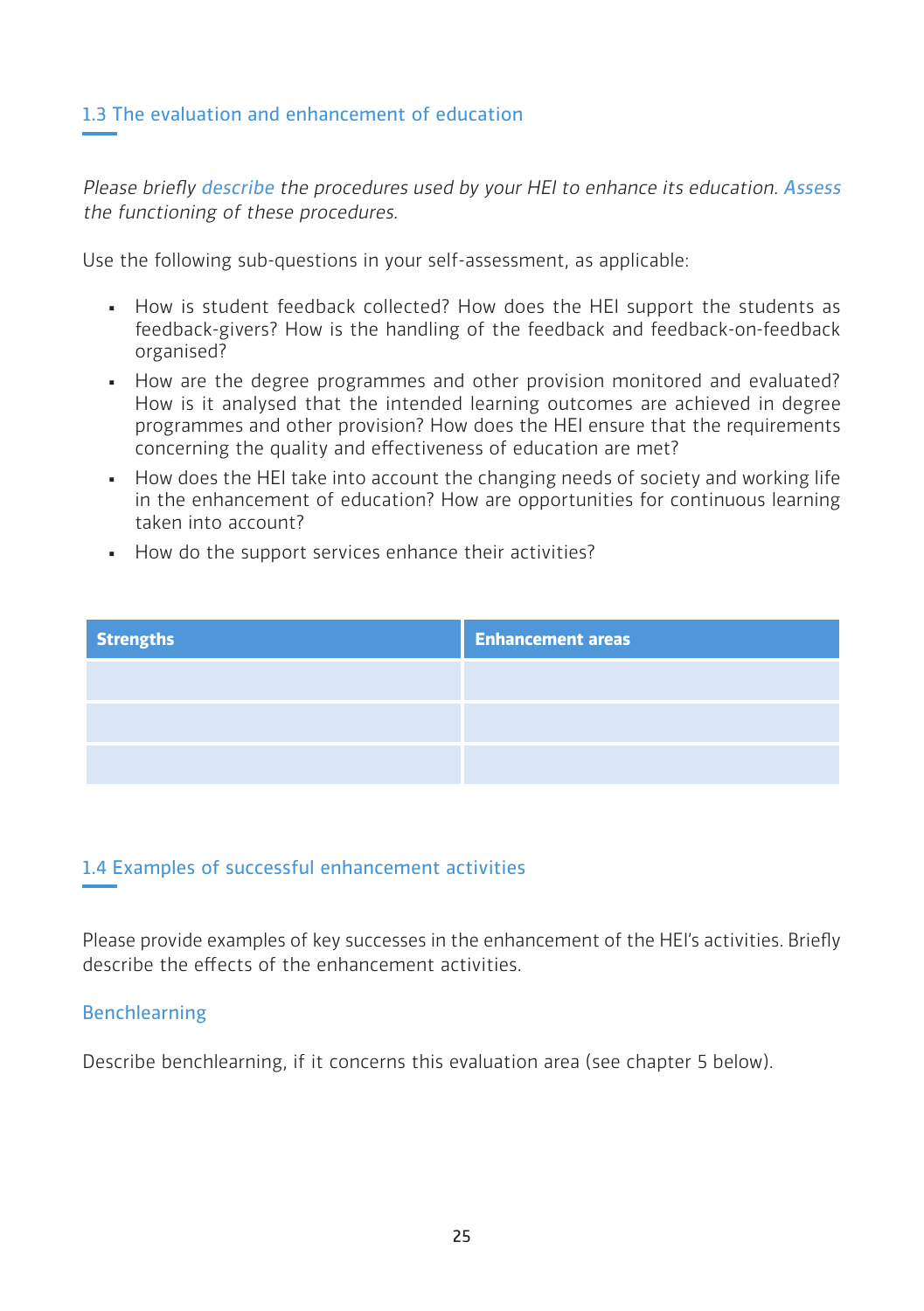#### 1.3 The evaluation and enhancement of education

Please briefly describe the procedures used by your HEI to enhance its education. Assess the functioning of these procedures.

Use the following sub-questions in your self-assessment, as applicable:

- How is student feedback collected? How does the HEI support the students as feedback-givers? How is the handling of the feedback and feedback-on-feedback organised?
- How are the degree programmes and other provision monitored and evaluated? How is it analysed that the intended learning outcomes are achieved in degree programmes and other provision? How does the HEI ensure that the requirements concerning the quality and effectiveness of education are met?
- How does the HEI take into account the changing needs of society and working life in the enhancement of education? How are opportunities for continuous learning taken into account?
- How do the support services enhance their activities?

| <b>Strengths</b> | <b>Enhancement areas</b> |
|------------------|--------------------------|
|                  |                          |
|                  |                          |
|                  |                          |

#### 1.4 Examples of successful enhancement activities

Please provide examples of key successes in the enhancement of the HEI's activities. Briefly describe the effects of the enhancement activities.

#### Benchlearning

Describe benchlearning, if it concerns this evaluation area (see chapter 5 below).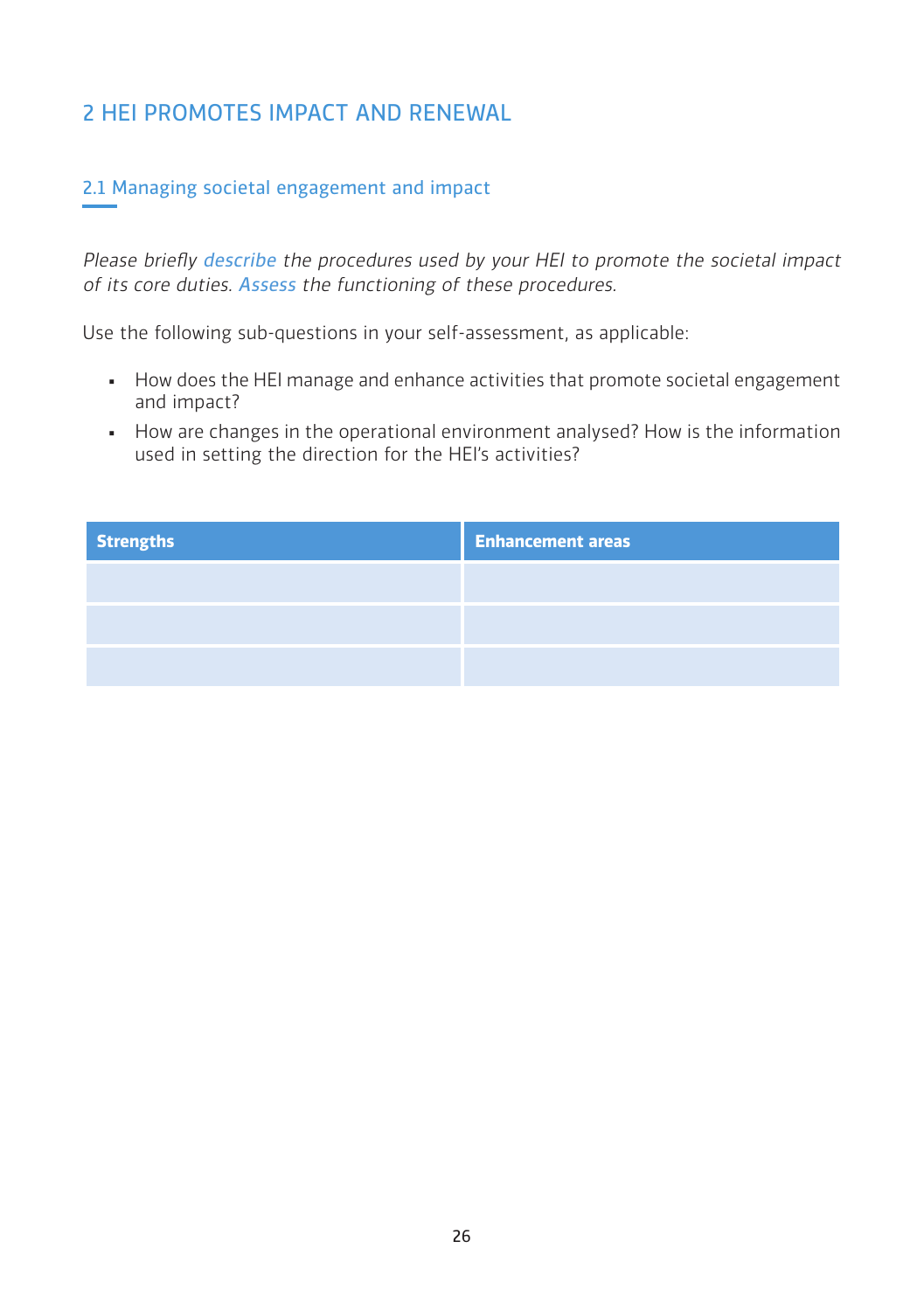## 2 HEI PROMOTES IMPACT AND RENEWAL

## 2.1 Managing societal engagement and impact

Please briefly describe the procedures used by your HEI to promote the societal impact of its core duties. Assess the functioning of these procedures.

Use the following sub-questions in your self-assessment, as applicable:

- **.** How does the HEI manage and enhance activities that promote societal engagement and impact?
- **How are changes in the operational environment analysed? How is the information** used in setting the direction for the HEI's activities?

| <b>Strengths</b> | <b>Enhancement areas</b> |
|------------------|--------------------------|
|                  |                          |
|                  |                          |
|                  |                          |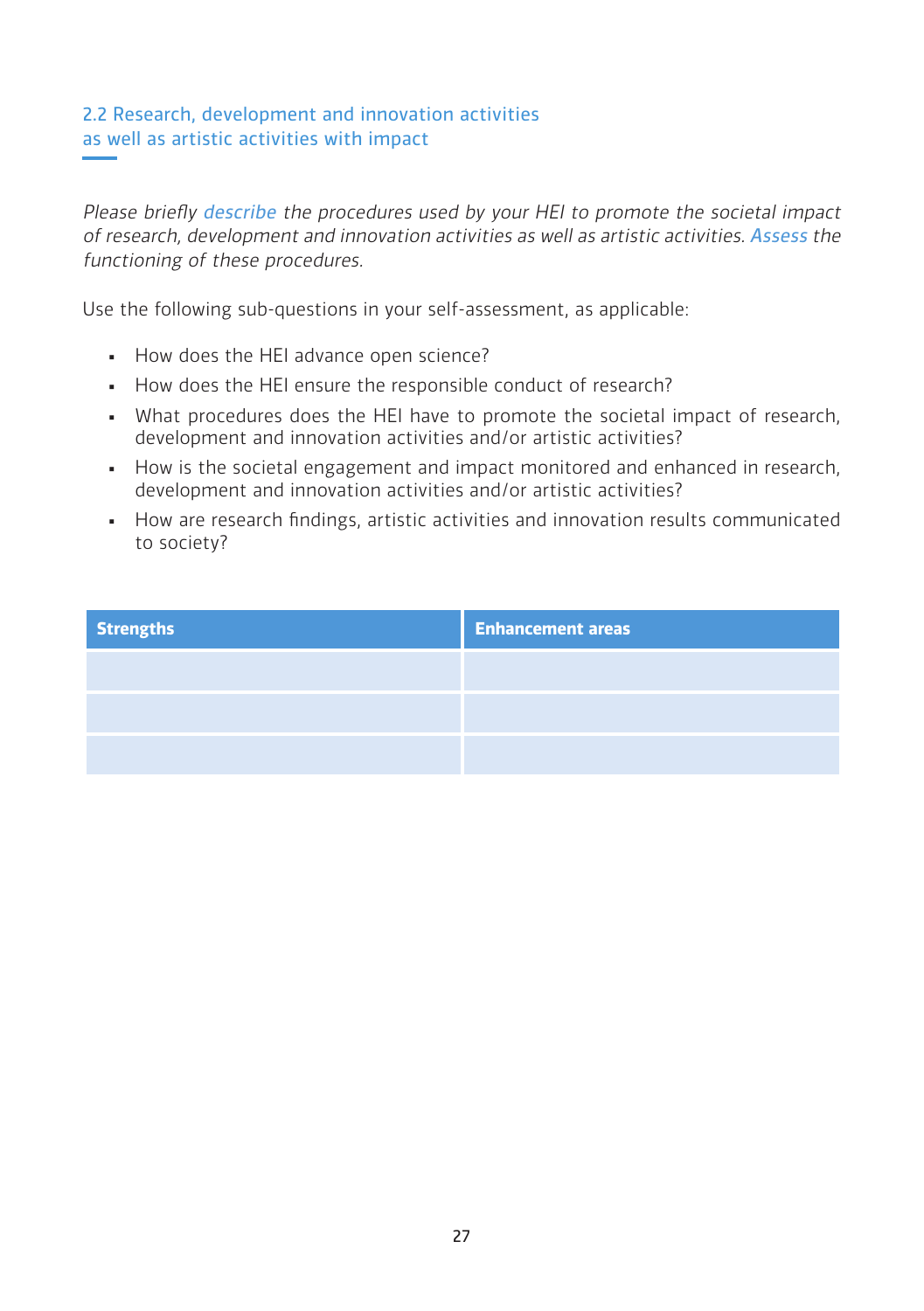## 2.2 Research, development and innovation activities as well as artistic activities with impact

Please briefly describe the procedures used by your HEI to promote the societal impact of research, development and innovation activities as well as artistic activities. Assess the functioning of these procedures.

Use the following sub-questions in your self-assessment, as applicable:

- How does the HEI advance open science?
- **.** How does the HEI ensure the responsible conduct of research?
- What procedures does the HEI have to promote the societal impact of research, development and innovation activities and/or artistic activities?
- How is the societal engagement and impact monitored and enhanced in research, development and innovation activities and/or artistic activities?
- **•** How are research findings, artistic activities and innovation results communicated to society?

| <b>Strengths</b> | <b>Enhancement areas</b> |
|------------------|--------------------------|
|                  |                          |
|                  |                          |
|                  |                          |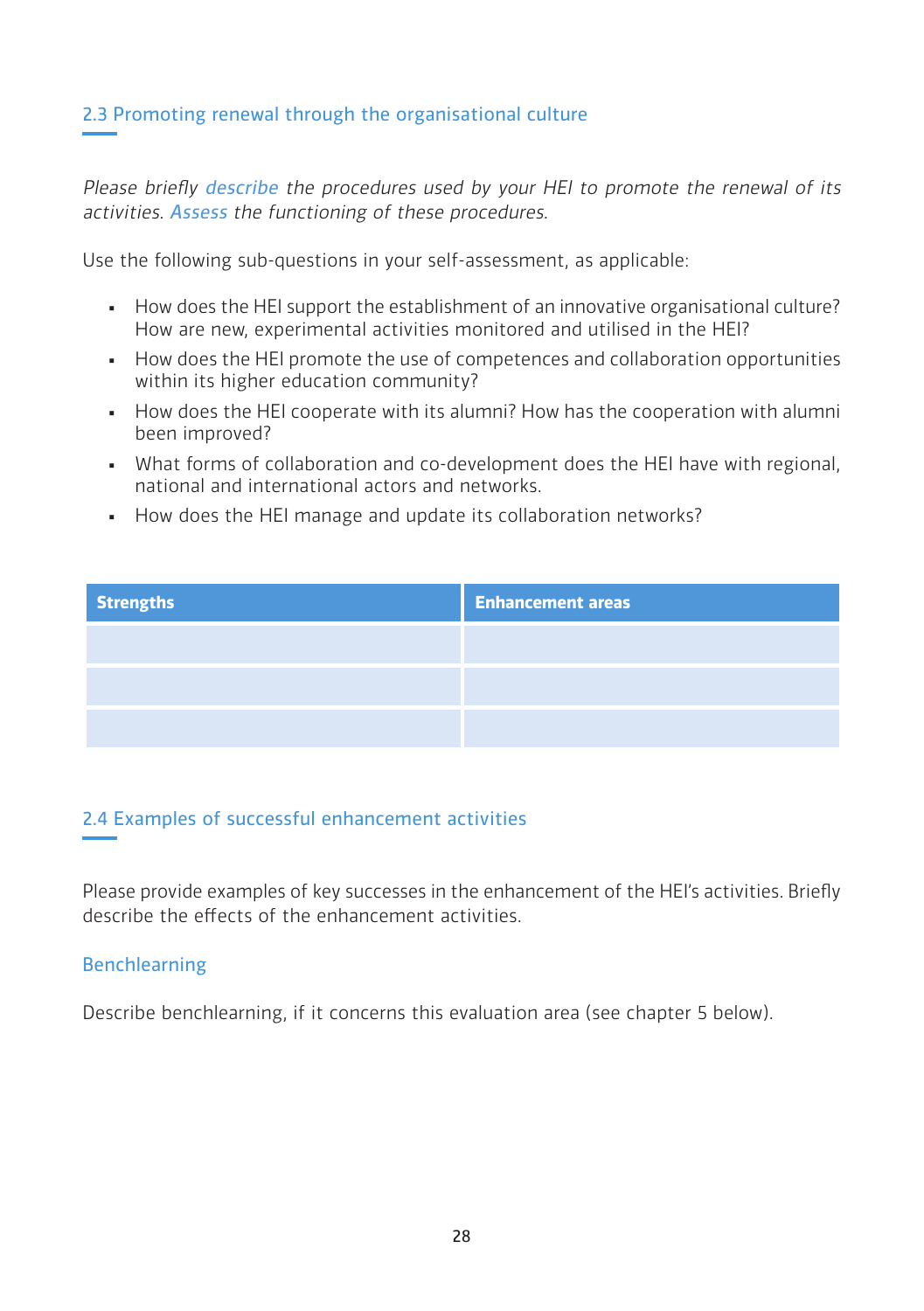## 2.3 Promoting renewal through the organisational culture

Please briefly describe the procedures used by your HEI to promote the renewal of its activities. Assess the functioning of these procedures.

Use the following sub-questions in your self-assessment, as applicable:

- How does the HEI support the establishment of an innovative organisational culture? How are new, experimental activities monitored and utilised in the HEI?
- How does the HEI promote the use of competences and collaboration opportunities within its higher education community?
- . How does the HEI cooperate with its alumni? How has the cooperation with alumni been improved?
- What forms of collaboration and co-development does the HEI have with regional, national and international actors and networks.
- How does the HEI manage and update its collaboration networks?

| <b>Strengths</b> | <b>Enhancement areas</b> |
|------------------|--------------------------|
|                  |                          |
|                  |                          |
|                  |                          |

## 2.4 Examples of successful enhancement activities

Please provide examples of key successes in the enhancement of the HEI's activities. Briefly describe the effects of the enhancement activities.

#### Benchlearning

Describe benchlearning, if it concerns this evaluation area (see chapter 5 below).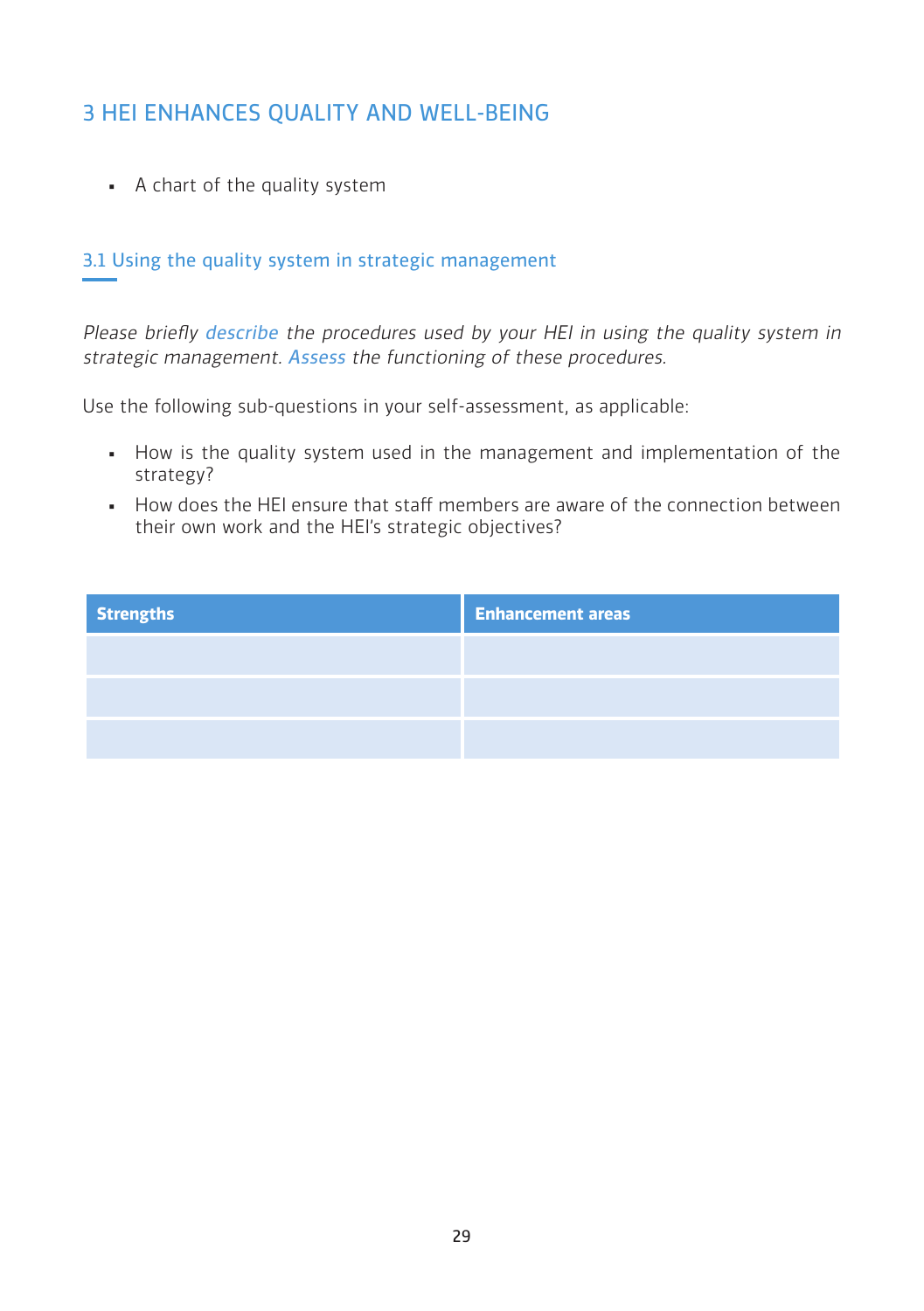## 3 HEI ENHANCES QUALITY AND WELL-BEING

▪ A chart of the quality system

## 3.1 Using the quality system in strategic management

Please briefly describe the procedures used by your HEI in using the quality system in strategic management. Assess the functioning of these procedures.

Use the following sub-questions in your self-assessment, as applicable:

- **•** How is the quality system used in the management and implementation of the strategy?
- How does the HEI ensure that staff members are aware of the connection between their own work and the HEI's strategic objectives?

| <b>Strengths</b> | <b>Enhancement areas</b> |
|------------------|--------------------------|
|                  |                          |
|                  |                          |
|                  |                          |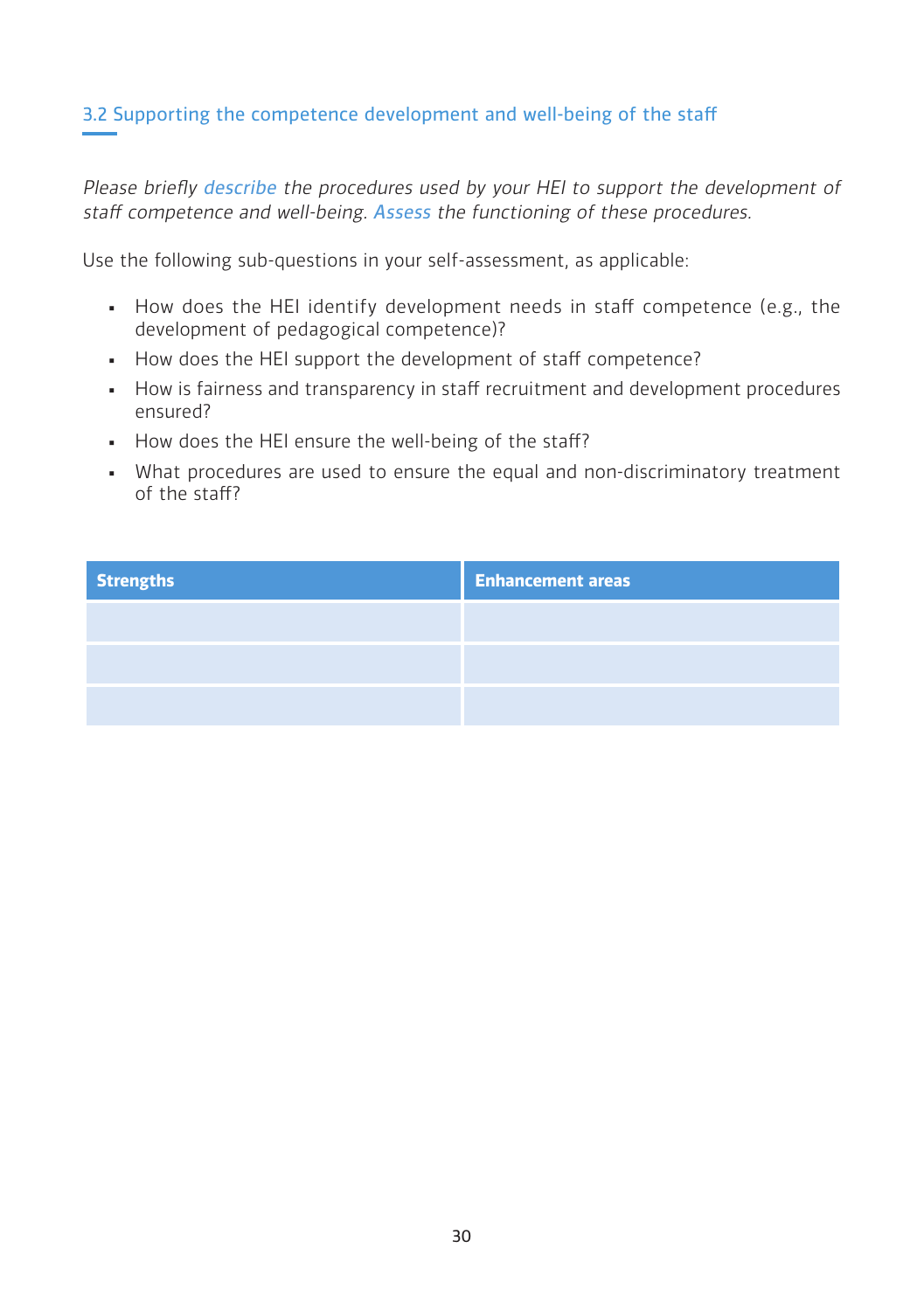## 3.2 Supporting the competence development and well-being of the staff

Please briefly describe the procedures used by your HEI to support the development of staff competence and well-being. Assess the functioning of these procedures.

Use the following sub-questions in your self-assessment, as applicable:

- How does the HEI identify development needs in staff competence (e.g., the development of pedagogical competence)?
- How does the HEI support the development of staff competence?
- How is fairness and transparency in staff recruitment and development procedures ensured?
- How does the HEI ensure the well-being of the staff?
- . What procedures are used to ensure the equal and non-discriminatory treatment of the staff?

| <b>Strengths</b> | <b>Enhancement areas</b> |
|------------------|--------------------------|
|                  |                          |
|                  |                          |
|                  |                          |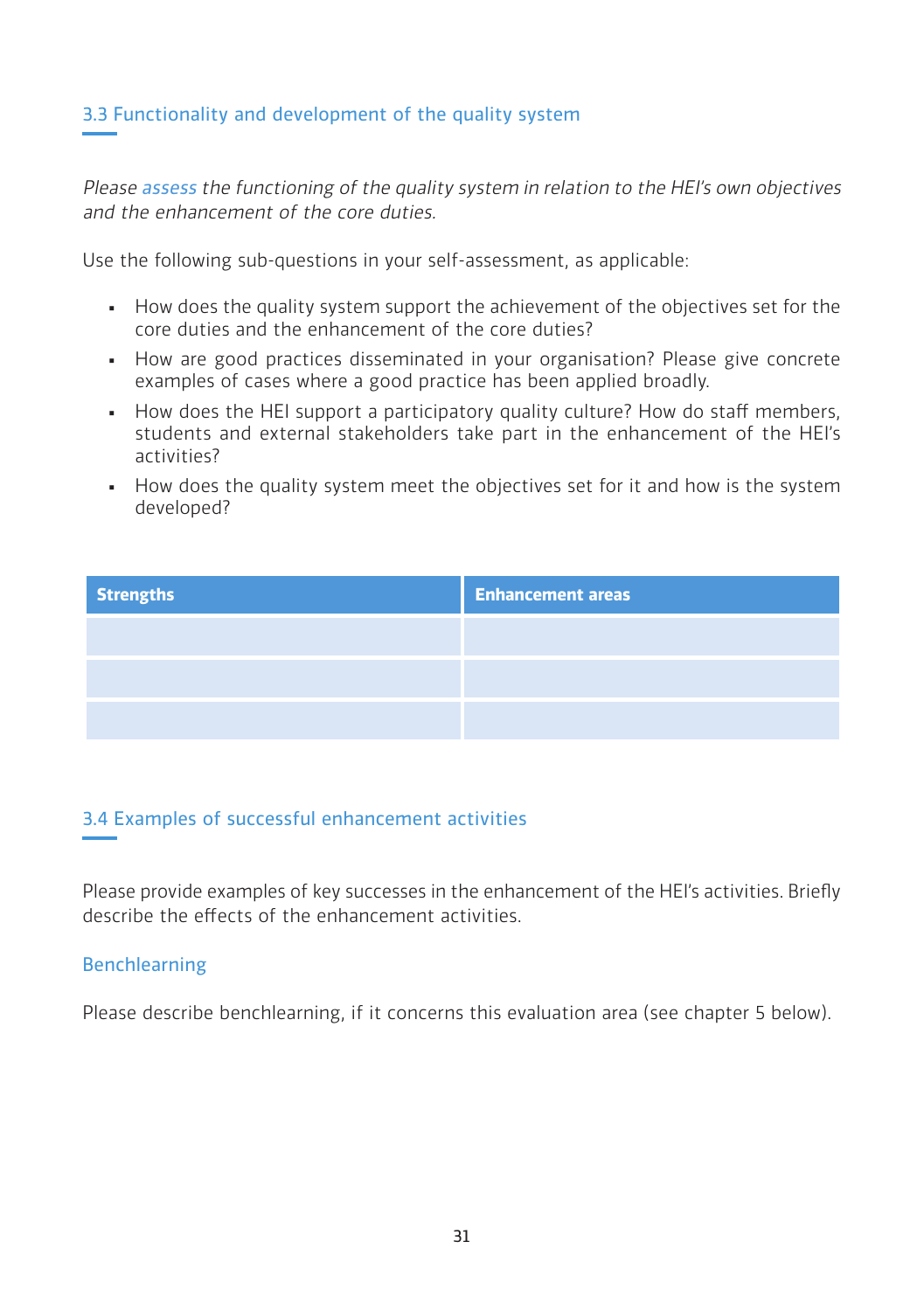## 3.3 Functionality and development of the quality system

Please assess the functioning of the quality system in relation to the HEI's own objectives and the enhancement of the core duties.

Use the following sub-questions in your self-assessment, as applicable:

- How does the quality system support the achievement of the objectives set for the core duties and the enhancement of the core duties?
- How are good practices disseminated in your organisation? Please give concrete examples of cases where a good practice has been applied broadly.
- . How does the HEI support a participatory quality culture? How do staff members, students and external stakeholders take part in the enhancement of the HEI's activities?
- How does the quality system meet the objectives set for it and how is the system developed?

| <b>Strengths</b> | <b>Enhancement areas</b> |
|------------------|--------------------------|
|                  |                          |
|                  |                          |
|                  |                          |

## 3.4 Examples of successful enhancement activities

Please provide examples of key successes in the enhancement of the HEI's activities. Briefly describe the effects of the enhancement activities.

#### Benchlearning

Please describe benchlearning, if it concerns this evaluation area (see chapter 5 below).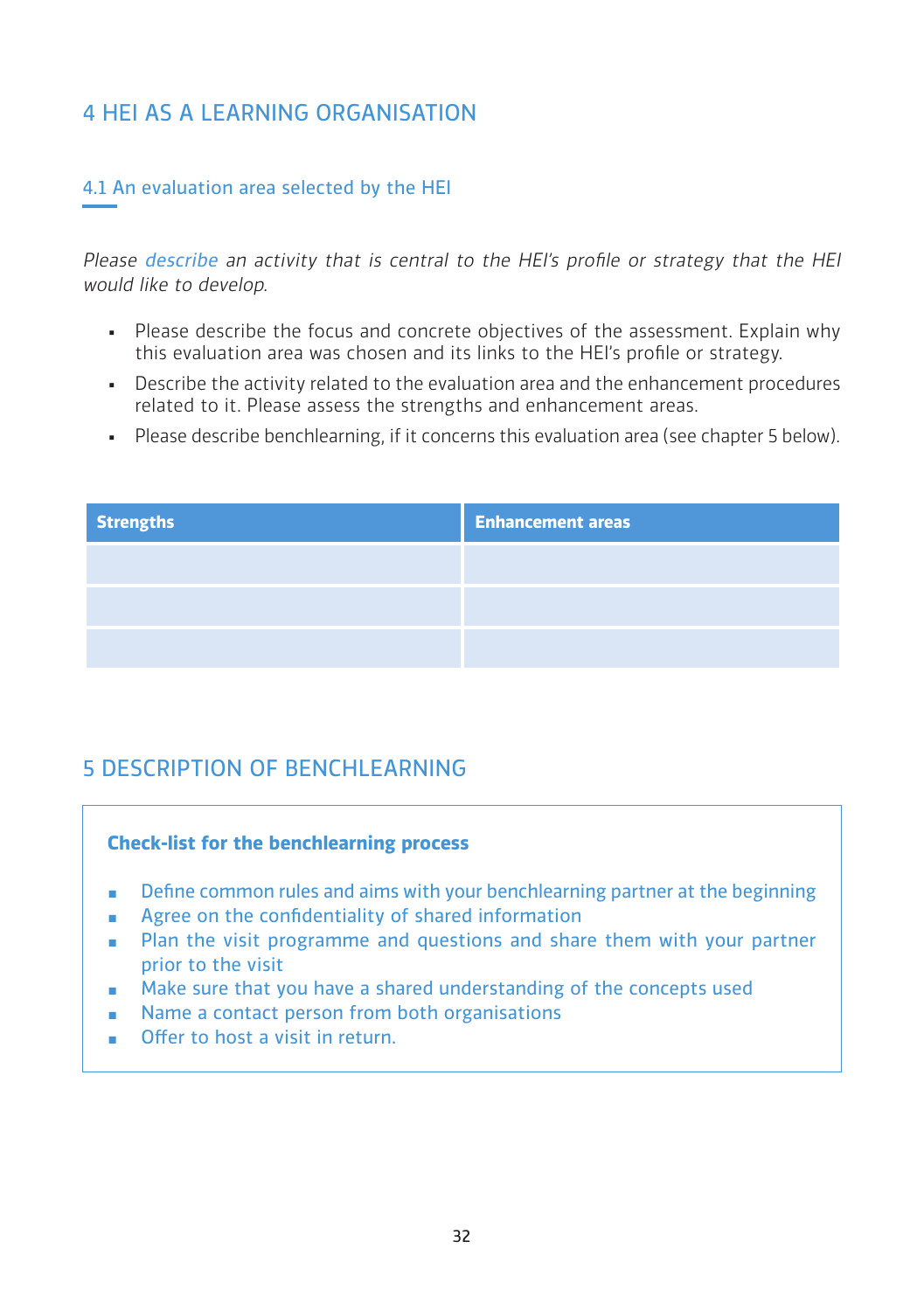## 4 HEI AS A LEARNING ORGANISATION

## 4.1 An evaluation area selected by the HEI

Please describe an activity that is central to the HEI's profile or strategy that the HEI would like to develop.

- Please describe the focus and concrete objectives of the assessment. Explain why this evaluation area was chosen and its links to the HEI's profile or strategy.
- **•** Describe the activity related to the evaluation area and the enhancement procedures related to it. Please assess the strengths and enhancement areas.
- Please describe benchlearning, if it concerns this evaluation area (see chapter 5 below).

| <b>Strengths</b> | <b>Enhancement areas</b> |
|------------------|--------------------------|
|                  |                          |
|                  |                          |
|                  |                          |

## 5 DESCRIPTION OF BENCHLEARNING

#### **Check-list for the benchlearning process**

- **•** Define common rules and aims with your benchlearning partner at the beginning
- Agree on the confidentiality of shared information
- Plan the visit programme and questions and share them with your partner prior to the visit
- **Make sure that you have a shared understanding of the concepts used**
- Name a contact person from both organisations
- Offer to host a visit in return.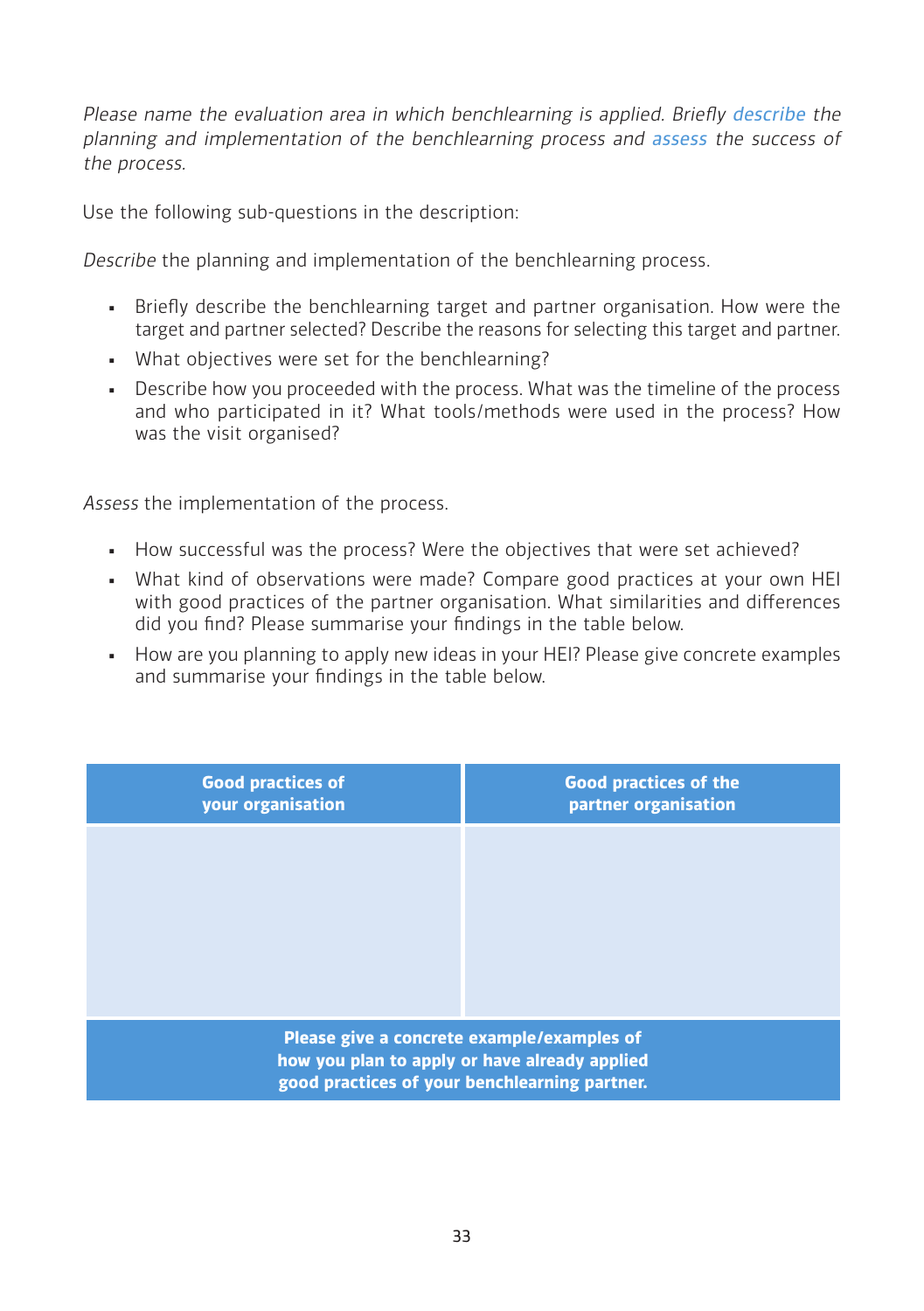Please name the evaluation area in which benchlearning is applied. Briefly describe the planning and implementation of the benchlearning process and assess the success of the process.

Use the following sub-questions in the description:

Describe the planning and implementation of the benchlearning process.

- **•** Briefly describe the benchlearning target and partner organisation. How were the target and partner selected? Describe the reasons for selecting this target and partner.
- What objectives were set for the benchlearning?
- Describe how you proceeded with the process. What was the timeline of the process and who participated in it? What tools/methods were used in the process? How was the visit organised?

Assess the implementation of the process.

- How successful was the process? Were the objectives that were set achieved?
- What kind of observations were made? Compare good practices at your own HEI with good practices of the partner organisation. What similarities and differences did you find? Please summarise your findings in the table below.
- How are you planning to apply new ideas in your HEI? Please give concrete examples and summarise your findings in the table below.